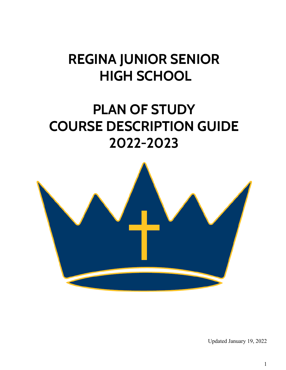## **REGINA JUNIOR SENIOR HIGH SCHOOL**

## **PLAN OF STUDY COURSE DESCRIPTION GUIDE 2022-2023**



Updated January 19, 2022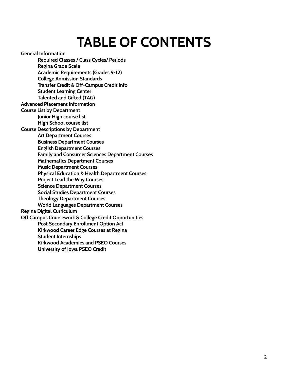# **TABLE OF CONTENTS**

**General Information**

**Required Classes / Class Cycles/ Periods Regina Grade Scale**

**Academic Requirements (Grades 9-12)**

**College Admission Standards**

**Transfer Credit & Off-Campus Credit Info**

**Student Learning Center**

**Talented and Gifted (TAG)**

**Advanced Placement Information**

**Course List by Department Junior High course list**

**High School course list**

**Course Descriptions by Department**

**Art Department Courses**

**Business Department Courses**

**English Department Courses**

**Family and Consumer Sciences Department Courses**

**Mathematics Department Courses**

**Music Department Courses**

**Physical Education & Health Department Courses**

**Project Lead the Way Courses**

**Science Department Courses**

**Social Studies Department Courses**

**Theology Department Courses**

**World Languages Department Courses**

**Regina Digital Curriculum**

**Off Campus Coursework & College Credit Opportunities**

**Post Secondary Enrollment Option Act**

**Kirkwood Career Edge Courses at Regina**

**Student Internships**

**Kirkwood Academies and PSEO Courses**

**University of Iowa PSEO Credit**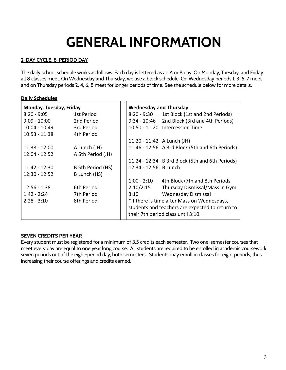# **GENERAL INFORMATION**

#### **2-DAY CYCLE, 8-PERIOD DAY**

The daily school schedule works as follows. Each day is lettered as an A or B day. On Monday, Tuesday, and Friday all 8 classes meet. On Wednesday and Thursday, we use a block schedule. On Wednesday periods 1, 3, 5, 7 meet and on Thursday periods 2, 4, 6, 8 meet for longer periods of time. See the schedule below for more details.

#### **Daily Schedules**

| Monday, Tuesday, Friday |                   | <b>Wednesday and Thursday</b>                   |                                                 |  |
|-------------------------|-------------------|-------------------------------------------------|-------------------------------------------------|--|
| $8:20 - 9:05$           | 1st Period        | 8:20 - 9:30                                     | 1st Block (1st and 2nd Periods)                 |  |
| $9:09 - 10:00$          | 2nd Period        | $9:34 - 10:46$                                  | 2nd Block (3rd and 4th Periods)                 |  |
| $10:04 - 10:49$         | 3rd Period        |                                                 | 10:50 - 11:20 Intercession Time                 |  |
| $10:53 - 11:38$         | 4th Period        |                                                 |                                                 |  |
|                         |                   | 11:20 - 11:42 A Lunch (JH)                      |                                                 |  |
| $11:38 - 12:00$         | A Lunch (JH)      |                                                 | 11:46 - 12:56 A 3rd Block (5th and 6th Periods) |  |
| $12:04 - 12:52$         | A 5th Period (JH) |                                                 |                                                 |  |
|                         |                   |                                                 | 11:24 - 12:34 B 3rd Block (5th and 6th Periods) |  |
| $11:42 - 12:30$         | B 5th Period (HS) | 12:34 - 12:56 B Lunch                           |                                                 |  |
| $12:30 - 12:52$         | B Lunch (HS)      |                                                 |                                                 |  |
|                         |                   | $1:00 - 2:10$                                   | 4th Block (7th and 8th Periods                  |  |
| $12:56 - 1:38$          | 6th Period        | 2:10/2:15                                       | Thursday Dismissal/Mass in Gym                  |  |
| $1:42 - 2:24$           | 7th Period        | 3:10                                            | <b>Wednesday Dismissal</b>                      |  |
| $2:28 - 3:10$           | 8th Period        | *If there is time after Mass on Wednesdays,     |                                                 |  |
|                         |                   | students and teachers are expected to return to |                                                 |  |
|                         |                   |                                                 | their 7th period class until 3:10.              |  |

#### **SEVEN CREDITS PER YEAR**

Every student must be registered for a minimum of 3.5 credits each semester. Two one-semester courses that meet every day are equal to one year long course. All students are required to be enrolled in academic coursework seven periods out of the eight-period day, both semesters. Students may enroll in classes for eight periods, thus increasing their course offerings and credits earned.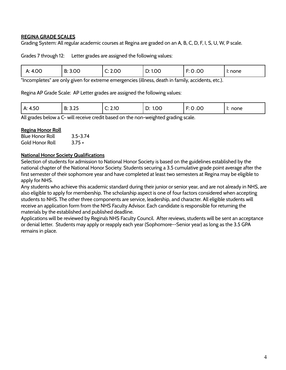#### **REGINA GRADE SCALES**

Grading System: All regular academic courses at Regina are graded on an A, B, C, D, F, I, S, U, W, P scale.

Grades 7 through 12: Letter grades are assigned the following values:

| 4.00<br>Λ.<br>-<br>_<br>٦. | B: 3.00 | 2.00<br>∼. | 1.00<br>Ō.<br>◡. | .00<br>__<br>.<br>. . | I: none |
|----------------------------|---------|------------|------------------|-----------------------|---------|
|                            |         |            |                  |                       |         |

"Incompletes" are only given for extreme emergencies (illness, death in family, accidents, etc.).

Regina AP Grade Scale: AP Letter grades are assigned the following values:

All grades below a C- will receive credit based on the non-weighted grading scale.

#### **Regina Honor Roll**

| <b>Blue Honor Roll</b> | $3.5 - 3.74$ |
|------------------------|--------------|
| <b>Gold Honor Roll</b> | $3.75 +$     |

#### **National Honor Society Qualifications**

Selection of students for admission to National Honor Society is based on the guidelines established by the national chapter of the National Honor Society. Students securing a 3.5 cumulative grade point average after the first semester of their sophomore year and have completed at least two semesters at Regina may be eligible to apply for NHS.

Any students who achieve this academic standard during their junior or senior year, and are not already in NHS, are also eligible to apply for membership. The scholarship aspect is one of four factors considered when accepting students to NHS. The other three components are service, leadership, and character. All eligible students will receive an application form from the NHS Faculty Advisor. Each candidate is responsible for returning the materials by the established and published deadline.

Applications will be reviewed by Regina's NHS Faculty Council. After reviews, students will be sent an acceptance or denial letter. Students may apply or reapply each year (Sophomore--Senior year) as long as the 3.5 GPA remains in place.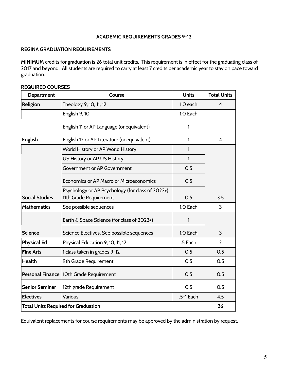#### **ACADEMIC REQUIREMENTS GRADES 9-12**

#### **REGINA GRADUATION REQUIREMENTS**

**MINIMUM** credits for graduation is 26 total unit credits. This requirement is in effect for the graduating class of 2017 and beyond. All students are required to carry at least 7 credits per academic year to stay on pace toward graduation.

#### **REQUIRED COURSES**

| <b>Department</b>     | Course                                                                     | <b>Units</b> | <b>Total Units</b> |
|-----------------------|----------------------------------------------------------------------------|--------------|--------------------|
| Religion              | Theology 9, 10, 11, 12                                                     | 1.0 each     | $\overline{4}$     |
|                       | English 9, 10                                                              | 1.0 Each     |                    |
|                       | English 11 or AP Language (or equivalent)                                  | 1            |                    |
| <b>English</b>        | English 12 or AP Literature (or equivalent)                                | 1            | 4                  |
|                       | World History or AP World History                                          | 1            |                    |
|                       | US History or AP US History                                                | 1            |                    |
|                       | Government or AP Government                                                | 0.5          |                    |
|                       | <b>Economics or AP Macro or Microeconomics</b>                             | 0.5          |                    |
| <b>Social Studies</b> | Psychology or AP Psychology (for class of 2022+)<br>11th Grade Requirement | 0.5          | 3.5                |
| <b>Mathematics</b>    | See possible sequences                                                     | 1.0 Each     | 3                  |
|                       | Earth & Space Science (for class of 2022+)                                 | 1            |                    |
| <b>Science</b>        | Science Electives, See possible sequences                                  | 1.0 Each     | 3                  |
| <b>Physical Ed</b>    | Physical Education 9, 10, 11, 12                                           | .5 Each      | $\overline{2}$     |
| <b>Fine Arts</b>      | 1 class taken in grades 9-12                                               | 0.5          | O.5                |
| <b>Health</b>         | 9th Grade Requirement                                                      | 0.5          | 0.5                |
|                       | Personal Finance   10th Grade Requirement                                  | 0.5          | 0.5                |
| <b>Senior Seminar</b> | 12th grade Requirement                                                     | 0.5          | 0.5                |
| <b>Electives</b>      | Various                                                                    | .5-1 Each    | 4.5                |
|                       | <b>Total Units Required for Graduation</b>                                 |              | 26                 |

Equivalent replacements for course requirements may be approved by the administration by request.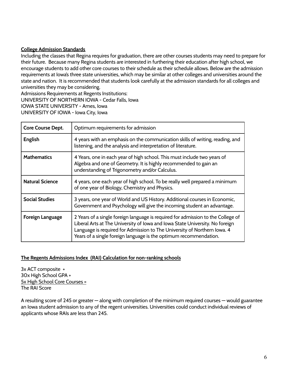#### **College Admission Standards**

Including the classes that Regina requires for graduation, there are other courses students may need to prepare for their future. Because many Regina students are interested in furthering their education after high school, we encourage students to add other core courses to their schedule as their schedule allows. Below are the admission requirements at Iowa's three state universities, which may be similar at other colleges and universities around the state and nation. It is recommended that students look carefully at the admission standards for all colleges and universities they may be considering.

Admissions Requirements at Regents Institutions: UNIVERSITY OF NORTHERN IOWA - Cedar Falls, Iowa IOWA STATE UNIVERSITY - Ames, Iowa UNIVERSITY OF IOWA - Iowa City, Iowa

| <b>Core Course Dept.</b> | Optimum requirements for admission                                                                                                                                                                                                                                                                                |
|--------------------------|-------------------------------------------------------------------------------------------------------------------------------------------------------------------------------------------------------------------------------------------------------------------------------------------------------------------|
| <b>English</b>           | 4 years with an emphasis on the communication skills of writing, reading, and<br>listening, and the analysis and interpretation of literature.                                                                                                                                                                    |
| <b>Mathematics</b>       | 4 Years, one in each year of high school. This must include two years of<br>Algebra and one of Geometry. It is highly recommended to gain an<br>understanding of Trigonometry and/or Calculus.                                                                                                                    |
| <b>Natural Science</b>   | 4 years, one each year of high school. To be really well prepared a minimum<br>of one year of Biology, Chemistry and Physics.                                                                                                                                                                                     |
| <b>Social Studies</b>    | 3 years, one year of World and US History. Additional courses in Economic,<br>Government and Psychology will give the incoming student an advantage.                                                                                                                                                              |
| Foreign Language         | 2 Years of a single foreign language is required for admission to the College of<br>Liberal Arts at The University of Iowa and Iowa State University. No foreign<br>Language is required for Admission to The University of Northern Iowa. 4<br>Years of a single foreign language is the optimum recommendation. |

#### **The Regents Admissions Index (RAI) Calculation for non-ranking schools**

3x ACT composite + 30x High School GPA + 5x High School Core Courses = The RAI Score

A resulting score of 245 or greater — along with completion of the minimum required courses — would guarantee an Iowa student admission to any of the regent universities. Universities could conduct individual reviews of applicants whose RAIs are less than 245.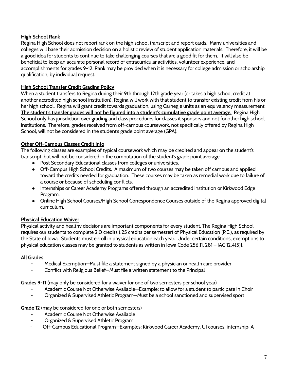#### **High School Rank**

Regina High School does not report rank on the high school transcript and report cards. Many universities and colleges will base their admission decision on a holistic review of student application materials. Therefore, it will be a good idea for students to continue to take challenging courses that are a good fit for them. It will also be beneficial to keep an accurate personal record of extracurricular activities, volunteer experience, and accomplishments for grades 9-12. Rank may be provided when it is necessary for college admission or scholarship qualification, by individual request.

#### **High School Transfer Credit Grading Policy**

When a student transfers to Regina during their 9th through 12th grade year (or takes a high school credit at another accredited high school institution), Regina will work with that student to transfer existing credit from his or her high school. Regina will grant credit towards graduation, using Carnegie units as an equivalency measurement. **The student's transfer grades will not be figured into a student's cumulative grade point average.** Regina High School only has jurisdiction over grading and class procedures for classes it sponsors and not for other high school institutions. Therefore, grades received from off-campus coursework, not specifically offered by Regina High School, will not be considered in the student's grade point average (GPA).

#### **Other Off-Campus Classes Credit Info**

The following classes are examples of typical coursework which may be credited and appear on the student's transcript, but will not be considered in the computation of the student's grade point average:

- Post Secondary Educational classes from colleges or universities.
- Off-Campus High School Credits. A maximum of two courses may be taken off campus and applied toward the credits needed for graduation. These courses may be taken as remedial work due to failure of a course or because of scheduling conflicts.
- Internships or Career Academy Programs offered through an accredited institution or Kirkwood Edge Program.
- Online High School Courses/High School Correspondence Courses outside of the Regina approved digital curriculum.

#### **Physical Education Waiver**

Physical activity and healthy decisions are important components for every student. The Regina High School requires our students to complete 2.0 credits (.25 credits per semester) of Physical Education (P.E.), as required by the State of Iowa. Students must enroll in physical education each year. Under certain conditions, exemptions to physical education classes may be granted to students as written in Iowa Code 256.11. 281 – IAC 12.4(5)f.

#### **All Grades**

- Medical Exemption—Must file a statement signed by a physician or health care provider
- Conflict with Religious Belief-Must file a written statement to the Principal

**Grades 9-11** (may only be considered for a waiver for one of two semesters per school year)

- Academic Course Not Otherwise Available—Example: to allow for a student to participate in Choir
- Organized & Supervised Athletic Program—Must be a school sanctioned and supervised sport

#### **Grade 12** (may be considered for one or both semesters)

- Academic Course Not Otherwise Available
- Organized & Supervised Athletic Program
- Off-Campus Educational Program—Examples: Kirkwood Career Academy, UI courses, internship· A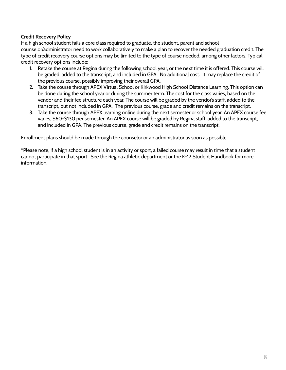#### **Credit Recovery Policy**

If a high school student fails a core class required to graduate, the student, parent and school counselor/administrator need to work collaboratively to make a plan to recover the needed graduation credit. The type of credit recovery course options may be limited to the type of course needed, among other factors. Typical credit recovery options include:

- 1. Retake the course at Regina during the following school year, or the next time it is offered. This course will be graded, added to the transcript, and included in GPA. No additional cost. It may replace the credit of the previous course, possibly improving their overall GPA.
- 2. Take the course through APEX Virtual School or Kirkwood High School Distance Learning. This option can be done during the school year or during the summer term. The cost for the class varies, based on the vendor and their fee structure each year. The course will be graded by the vendor's staff, added to the transcript, but not included in GPA. The previous course, grade and credit remains on the transcript.
- 3. Take the course through APEX learning online during the next semester or school year. An APEX course fee varies, \$60-\$130 per semester. An APEX course will be graded by Regina staff, added to the transcript, and included in GPA. The previous course, grade and credit remains on the transcript.

Enrollment plans should be made through the counselor or an administrator as soon as possible.

\*Please note, if a high school student is in an activity or sport, a failed course may result in time that a student cannot participate in that sport. See the Regina athletic department or the K-12 Student Handbook for more information.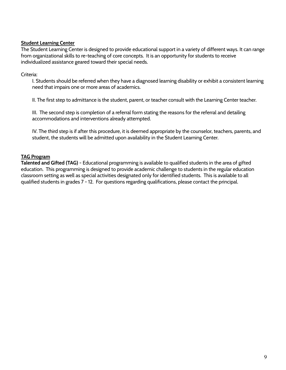#### **Student Learning Center**

The Student Learning Center is designed to provide educational support in a variety of different ways. It can range from organizational skills to re-teaching of core concepts. It is an opportunity for students to receive individualized assistance geared toward their special needs.

#### Criteria:

I. Students should be referred when they have a diagnosed learning disability or exhibit a consistent learning need that impairs one or more areas of academics.

II. The first step to admittance is the student, parent, or teacher consult with the Learning Center teacher.

III. The second step is completion of a referral form stating the reasons for the referral and detailing accommodations and interventions already attempted.

IV. The third step is if after this procedure, it is deemed appropriate by the counselor, teachers, parents, and student, the students will be admitted upon availability in the Student Learning Center.

#### **TAG Program**

**Talented and Gifted (TAG)** - Educational programming is available to qualified students in the area of gifted education. This programming is designed to provide academic challenge to students in the regular education classroom setting as well as special activities designated only for identified students. This is available to all qualified students in grades 7 - 12. For questions regarding qualifications, please contact the principal.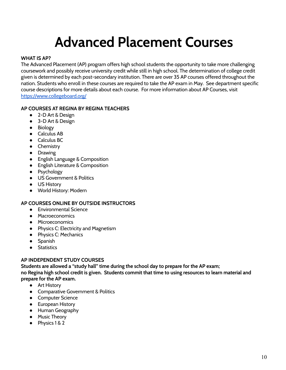# **Advanced Placement Courses**

#### **WHAT IS AP?**

The Advanced Placement (AP) program offers high school students the opportunity to take more challenging coursework and possibly receive university credit while still in high school. The determination of college credit given is determined by each post-secondary institution. There are over 35 AP courses offered throughout the nation. Students who enroll in these courses are required to take the AP exam in May. See department specific course descriptions for more details about each course. For more information about AP Courses, visit <https://www.collegeboard.org/>

#### **AP COURSES AT REGINA BY REGINA TEACHERS**

- 2-D Art & Design
- 3-D Art & Design
- Biology
- Calculus AB
- Calculus BC
- Chemistry
- Drawing
- English Language & Composition
- English Literature & Composition
- Psychology
- US Government & Politics
- US History
- World History: Modern

#### **AP COURSES ONLINE BY OUTSIDE INSTRUCTORS**

- Environmental Science
- Macroeconomics
- Microeconomics
- Physics C: Electricity and Magnetism
- Physics C: Mechanics
- Spanish
- Statistics

#### **AP INDEPENDENT STUDY COURSES**

**Students are allowed a "study hall" time during the school day to prepare for the AP exam; no Regina high school credit is given. Students commit that time to using resources to learn material and prepare for the AP exam.**

- Art History
- Comparative Government & Politics
- Computer Science
- European History
- Human Geography
- Music Theory
- Physics 1 & 2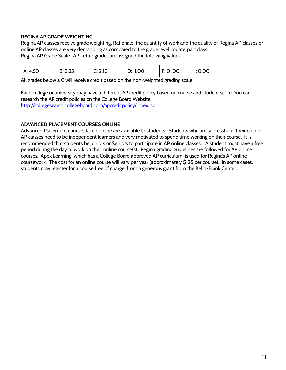#### **REGINA AP GRADE WEIGHTING**

Regina AP classes receive grade weighting. Rationale: the quantity of work and the quality of Regina AP classes or online AP classes are very demanding as compared to the grade level counterpart class. Regina AP Grade Scale: AP Letter grades are assigned the following values:

| A: 4.50 | B: 3.25 | C: 2.10 | D: 1.00 | l F: 0 .00 | I: 0.00 |
|---------|---------|---------|---------|------------|---------|
|---------|---------|---------|---------|------------|---------|

All grades below a C will receive credit based on the non-weighted grading scale.

Each college or university may have a different AP credit policy based on course and student score. You can research the AP credit policies on the College Board Website: <http://collegesearch.collegeboard.com/apcreditpolicy/index.jsp>

#### **ADVANCED PLACEMENT COURSES ONLINE**

Advanced Placement courses taken online are available to students. Students who are successful in their online AP classes need to be independent learners and very motivated to spend time working on their course. It is recommended that students be Juniors or Seniors to participate in AP online classes. A student must have a free period during the day to work on their online course(s). Regina grading guidelines are followed for AP online courses. Apex Learning, which has a College Board approved AP curriculum, is used for Regina's AP online coursework. The cost for an online course will vary per year (approximately \$125 per course). In some cases, students may register for a course free of charge, from a generous grant from the Belin-Blank Center.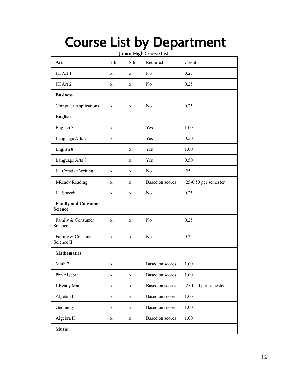# **Course List by Department**

**Junior High Course List**

| Art                                          | 7th | 8th | Required        | Credit                  |
|----------------------------------------------|-----|-----|-----------------|-------------------------|
| JH Art 1                                     | X   | X   | N <sub>0</sub>  | 0.25                    |
| JH Art 2                                     | X   | X   | N <sub>0</sub>  | 0.25                    |
| <b>Business</b>                              |     |     |                 |                         |
| <b>Computer Applications</b>                 | X   | X   | N <sub>0</sub>  | 0.25                    |
| <b>English</b>                               |     |     |                 |                         |
| English 7                                    | X   |     | Yes             | 1.00                    |
| Language Arts 7                              | X   |     | Yes             | 0.50                    |
| English 8                                    |     | X   | Yes             | 1.00                    |
| Language Arts 8                              |     | X   | Yes             | 0.50                    |
| JH Creative Writing                          | X   | X   | N <sub>0</sub>  | .25                     |
| I-Ready Reading                              | X   | X   | Based on scores | $.25-0.50$ per semester |
| JH Speech                                    | X   | X   | N <sub>0</sub>  | 0.25                    |
| <b>Family and Consumer</b><br><b>Science</b> |     |     |                 |                         |
| Family & Consumer<br>Science I               | X   | X   | N <sub>0</sub>  | 0.25                    |
| Family & Consumer<br>Science II              | X   | X   | N <sub>0</sub>  | 0.25                    |
| <b>Mathematics</b>                           |     |     |                 |                         |
| Math 7                                       | X   |     | Based on scores | 1.00                    |
| Pre-Algebra                                  | X   | X   | Based on scores | 1.00                    |
| I-Ready Math                                 | X   | X   | Based on scores | .25-0.50 per semester   |
| Algebra I                                    | X   | X   | Based on scores | 1.00                    |
| Geometry                                     | X   | X   | Based on scores | 1.00                    |
| Algebra II                                   | X   | X   | Based on scores | 1.00                    |
| <b>Music</b>                                 |     |     |                 |                         |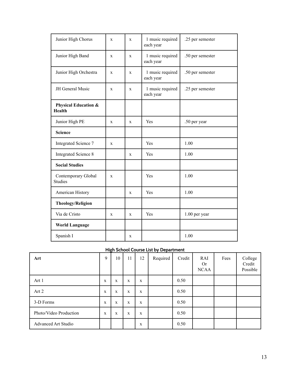| Junior High Chorus                               | $\mathbf X$  | X            | 1 music required<br>each year | .25 per semester |
|--------------------------------------------------|--------------|--------------|-------------------------------|------------------|
| Junior High Band                                 | $\mathbf X$  | X            | 1 music required<br>each year | .50 per semester |
| Junior High Orchestra                            | $\mathbf{x}$ | $\mathbf{x}$ | 1 music required<br>each year | .50 per semester |
| JH General Music                                 | $\mathbf x$  | $\mathbf{x}$ | 1 music required<br>each year | .25 per semester |
| <b>Physical Education &amp;</b><br><b>Health</b> |              |              |                               |                  |
| Junior High PE                                   | X            | X            | Yes                           | .50 per year     |
| <b>Science</b>                                   |              |              |                               |                  |
| Integrated Science 7                             | $\mathbf X$  |              | Yes                           | 1.00             |
| <b>Integrated Science 8</b>                      |              | X            | Yes                           | 1.00             |
| <b>Social Studies</b>                            |              |              |                               |                  |
| Contemporary Global<br><b>Studies</b>            | $\mathbf X$  |              | Yes                           | 1.00             |
| American History                                 |              | X            | Yes                           | 1.00             |
| <b>Theology/Religion</b>                         |              |              |                               |                  |
| Via de Cristo                                    | X            | X            | Yes                           | 1.00 per year    |
| <b>World Language</b>                            |              |              |                               |                  |
| Spanish I                                        |              | X            |                               | 1.00             |

#### **High School Course List by Department**

| Art                        | 9 | $\sim$ $\sim$ $\sim$<br>10 | 11          | 12 | $-7 - -1$<br>Required | Credit | RAI<br><b>Or</b><br><b>NCAA</b> | Fees | College<br>Credit<br>Possible |
|----------------------------|---|----------------------------|-------------|----|-----------------------|--------|---------------------------------|------|-------------------------------|
| Art 1                      | X | X                          | X           | X  |                       | 0.50   |                                 |      |                               |
| Art 2                      | X | X                          | X           | X  |                       | 0.50   |                                 |      |                               |
| 3-D Forms                  | X | $\mathbf X$                | $\mathbf X$ | X  |                       | 0.50   |                                 |      |                               |
| Photo/Video Production     | X | $\mathbf X$                | $\mathbf X$ | X  |                       | 0.50   |                                 |      |                               |
| <b>Advanced Art Studio</b> |   |                            |             | X  |                       | 0.50   |                                 |      |                               |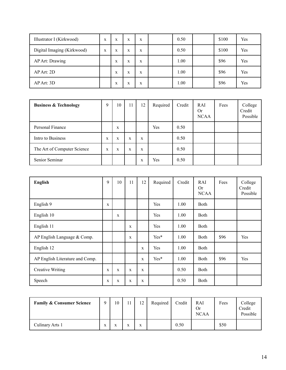| Illustrator I (Kirkwood)   | X | X | X | X | 0.50 | \$100 | Yes |
|----------------------------|---|---|---|---|------|-------|-----|
| Digital Imaging (Kirkwood) | X | X | X | X | 0.50 | \$100 | Yes |
| AP Art: Drawing            |   | X | X | X | 1.00 | \$96  | Yes |
| $AP$ Art: 2D               |   | X | X | X | 1.00 | \$96  | Yes |
| AP Art: 3D                 |   | X | X | X | 1.00 | \$96  | Yes |

| <b>Business &amp; Technology</b> | Q | 10 | 11 | 12 | Required | Credit | <b>RAI</b><br><b>Or</b><br><b>NCAA</b> | Fees | College<br>Credit<br>Possible |
|----------------------------------|---|----|----|----|----------|--------|----------------------------------------|------|-------------------------------|
| Personal Finance                 |   | X  |    |    | Yes      | 0.50   |                                        |      |                               |
| Intro to Business                | X | X  | X  | X  |          | 0.50   |                                        |      |                               |
| The Art of Computer Science      | X | X  | X  | X  |          | 0.50   |                                        |      |                               |
| Senior Seminar                   |   |    |    | X  | Yes      | 0.50   |                                        |      |                               |

| <b>English</b>                  | 9           | 10          | 11 | 12 | Required | Credit | RAI<br><b>Or</b><br><b>NCAA</b> | Fees | College<br>Credit<br>Possible |
|---------------------------------|-------------|-------------|----|----|----------|--------|---------------------------------|------|-------------------------------|
| English 9                       | X           |             |    |    | Yes      | 1.00   | <b>Both</b>                     |      |                               |
| English 10                      |             | X           |    |    | Yes      | 1.00   | <b>Both</b>                     |      |                               |
| English 11                      |             |             | X  |    | Yes      | 1.00   | <b>Both</b>                     |      |                               |
| AP English Language $&$ Comp.   |             |             | X  |    | Yes*     | 1.00   | <b>Both</b>                     | \$96 | Yes                           |
| English 12                      |             |             |    | X  | Yes      | 1.00   | <b>Both</b>                     |      |                               |
| AP English Literature and Comp. |             |             |    | X  | Yes*     | 1.00   | <b>Both</b>                     | \$96 | Yes                           |
| <b>Creative Writing</b>         | X           | X           | X  | X  |          | 0.50   | <b>Both</b>                     |      |                               |
| Speech                          | $\mathbf X$ | $\mathbf X$ | X  | X  |          | 0.50   | Both                            |      |                               |

| <b>Family &amp; Consumer Science</b> | $\Omega$ | 10 | 11 | 12 | Required | Credit | RAI<br>Or<br><b>NCAA</b> | Fees | College<br>Credit<br>Possible |
|--------------------------------------|----------|----|----|----|----------|--------|--------------------------|------|-------------------------------|
| Culinary Arts 1                      | X        |    | X  | X  |          | 0.50   |                          | \$50 |                               |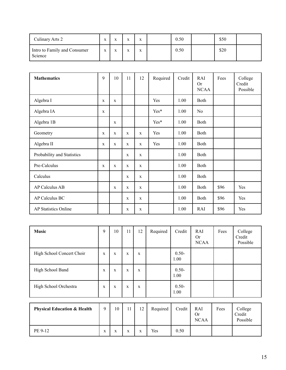| Culinary Arts 2                         | $\mathbf{v}$<br>л | $\mathbf{v}$ | <b>TP</b> | $\mathbf{v}$ | 0.50 | \$50 |  |
|-----------------------------------------|-------------------|--------------|-----------|--------------|------|------|--|
| Intro to Family and Consumer<br>Science | $\mathbf{v}$<br>л | $\mathbf{v}$ |           | $\mathbf{v}$ | 0.50 | \$20 |  |

| <b>Mathematics</b>          | 9           | 10           | 11          | 12           | Required | Credit | RAI<br><b>Or</b><br><b>NCAA</b> | Fees | College<br>Credit<br>Possible |
|-----------------------------|-------------|--------------|-------------|--------------|----------|--------|---------------------------------|------|-------------------------------|
| Algebra I                   | $\mathbf X$ | $\mathbf X$  |             |              | Yes      | 1.00   | Both                            |      |                               |
| Algebra IA                  | $\mathbf X$ |              |             |              | Yes*     | 1.00   | N <sub>o</sub>                  |      |                               |
| Algebra 1B                  |             | $\mathbf{X}$ |             |              | Yes*     | 1.00   | Both                            |      |                               |
| Geometry                    | $\mathbf X$ | X            | X           | $\mathbf{X}$ | Yes      | 1.00   | Both                            |      |                               |
| Algebra II                  | X           | $\mathbf{X}$ | X           | $\mathbf X$  | Yes      | 1.00   | Both                            |      |                               |
| Probability and Statistics  |             |              | X           | $\mathbf X$  |          | 1.00   | Both                            |      |                               |
| Pre-Calculus                | X           | $\mathbf x$  | $\mathbf X$ | X            |          | 1.00   | Both                            |      |                               |
| Calculus                    |             |              | $\mathbf X$ | $\mathbf X$  |          | 1.00   | <b>Both</b>                     |      |                               |
| <b>AP Calculus AB</b>       |             | $\mathbf X$  | X           | $\mathbf x$  |          | 1.00   | Both                            | \$96 | Yes                           |
| <b>AP Calculus BC</b>       |             |              | $\mathbf X$ | $\mathbf X$  |          | 1.00   | Both                            | \$96 | Yes                           |
| <b>AP Statistics Online</b> |             |              | $\mathbf X$ | $\mathbf X$  |          | 1.00   | RAI                             | \$96 | Yes                           |

| <b>Music</b>                           | 9           | 10          | 11          | 12          | Required | Credit           | RAI<br><b>Or</b><br><b>NCAA</b> | Fees | College<br>Credit<br>Possible |
|----------------------------------------|-------------|-------------|-------------|-------------|----------|------------------|---------------------------------|------|-------------------------------|
| High School Concert Choir              | X           | $\mathbf X$ | X           | X           |          | $0.50 -$<br>1.00 |                                 |      |                               |
| High School Band                       | $\mathbf X$ | $\mathbf X$ | X           | $\mathbf X$ |          | $0.50 -$<br>1.00 |                                 |      |                               |
| High School Orchestra                  | X           | X           | $\mathbf X$ | X           |          | $0.50 -$<br>1.00 |                                 |      |                               |
|                                        |             |             |             |             |          |                  |                                 |      |                               |
| <b>Physical Education &amp; Health</b> | 9           | 10          | 11          | 12          | Required | Credit           | RAI<br><b>Or</b><br><b>NCAA</b> | Fees | College<br>Credit<br>Possible |

PE 9-12 x x x x Yes 0.50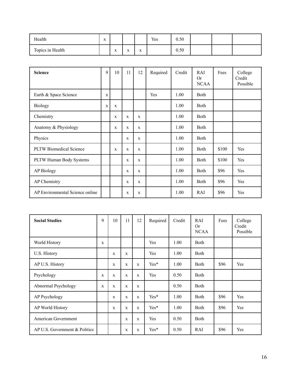| Health           | $\mathbf{v}$<br>$\Lambda$ |                           |                        |                           | Yes | 0.50 |  |  |
|------------------|---------------------------|---------------------------|------------------------|---------------------------|-----|------|--|--|
| Topics in Health |                           | $\mathbf{v}$<br>$\Lambda$ | $\cdot$ .<br>$\Lambda$ | $\mathbf{v}$<br>$\Lambda$ |     | 0.50 |  |  |

| <b>Science</b>                  | 9 | 10           | 11           | 12           | Required | Credit | RAI<br><b>Or</b><br><b>NCAA</b> | Fees  | College<br>Credit<br>Possible |
|---------------------------------|---|--------------|--------------|--------------|----------|--------|---------------------------------|-------|-------------------------------|
| Earth & Space Science           | X |              |              |              | Yes      | 1.00   | <b>Both</b>                     |       |                               |
| <b>Biology</b>                  | X | X            |              |              |          | 1.00   | <b>Both</b>                     |       |                               |
| Chemistry                       |   | $\mathbf{x}$ | $\mathbf{x}$ | $\mathbf{x}$ |          | 1.00   | <b>Both</b>                     |       |                               |
| Anatomy & Physiology            |   | X            | X            | X            |          | 1.00   | Both                            |       |                               |
| Physics                         |   |              | $\mathbf{x}$ | $\mathbf{x}$ |          | 1.00   | Both                            |       |                               |
| <b>PLTW</b> Biomedical Science  |   | $\mathbf x$  | $\mathbf x$  | $\mathbf x$  |          | 1.00   | <b>Both</b>                     | \$100 | Yes                           |
| PLTW Human Body Systems         |   |              | X            | $\mathbf x$  |          | 1.00   | Both                            | \$100 | Yes                           |
| <b>AP Biology</b>               |   |              | X            | $\mathbf x$  |          | 1.00   | <b>Both</b>                     | \$96  | Yes                           |
| AP Chemistry                    |   |              | X            | X            |          | 1.00   | <b>Both</b>                     | \$96  | Yes                           |
| AP Environmental Science online |   |              | $\mathbf X$  | $\mathbf X$  |          | 1.00   | RAI                             | \$96  | Yes                           |

| <b>Social Studies</b>         | 9 | 10          | 11           | 12 | Required | Credit | RAI<br>Or<br><b>NCAA</b> | Fees | College<br>Credit<br>Possible |
|-------------------------------|---|-------------|--------------|----|----------|--------|--------------------------|------|-------------------------------|
| World History                 | X |             |              |    | Yes      | 1.00   | <b>Both</b>              |      |                               |
| U.S. History                  |   | $\mathbf x$ | $\mathbf X$  |    | Yes      | 1.00   | <b>Both</b>              |      |                               |
| AP U.S. History               |   | $\mathbf x$ | $\mathbf X$  | X  | $Yes*$   | 1.00   | Both                     | \$96 | Yes                           |
| Psychology                    | X | $\mathbf x$ | $\mathbf X$  | X  | Yes      | 0.50   | <b>Both</b>              |      |                               |
| Abnormal Psychology           | X | $\mathbf x$ | $\mathbf X$  | X  |          | 0.50   | <b>Both</b>              |      |                               |
| AP Psychology                 |   | $\mathbf x$ | X            | X  | $Yes*$   | 1.00   | Both                     | \$96 | Yes                           |
| AP World History              |   | $\mathbf x$ | X            | X  | $Yes*$   | 1.00   | <b>Both</b>              | \$96 | Yes                           |
| American Government           |   |             | $\mathbf{X}$ | X  | Yes      | 0.50   | Both                     |      |                               |
| AP U.S. Government & Politics |   |             | X            | X  | $Yes*$   | 0.50   | RAI                      | \$96 | Yes                           |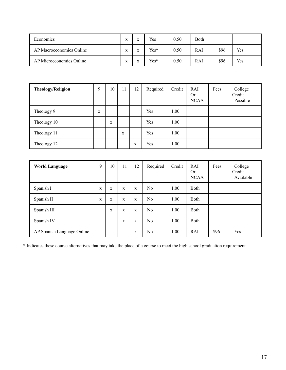| Economics                |  | $\mathbf{v}$      | <b>XF</b> | Yes    | 0.50 | Both |      |            |
|--------------------------|--|-------------------|-----------|--------|------|------|------|------------|
| AP Macroeconomics Online |  | <b>XF</b><br>A    | <b>XF</b> | $Yes*$ | 0.50 | RAI  | \$96 | <b>Yes</b> |
| AP Microeconomics Online |  | $\mathbf{v}$<br>A | <b>XF</b> | $Yes*$ | 0.50 | RAI  | \$96 | Yes        |

| <b>Theology/Religion</b> | 9 | 10 | 11 | 12 | Required | Credit | RAI<br><b>Or</b><br><b>NCAA</b> | Fees | College<br>Credit<br>Possible |
|--------------------------|---|----|----|----|----------|--------|---------------------------------|------|-------------------------------|
| Theology 9               | X |    |    |    | Yes      | 1.00   |                                 |      |                               |
| Theology 10              |   | X  |    |    | Yes      | 1.00   |                                 |      |                               |
| Theology 11              |   |    | X  |    | Yes      | 1.00   |                                 |      |                               |
| Theology 12              |   |    |    | X  | Yes      | 1.00   |                                 |      |                               |

| <b>World Language</b>      | 9           | 10 | 11 | 12 | Required | Credit | RAI<br>Or<br><b>NCAA</b> | Fees | College<br>Credit<br>Available |
|----------------------------|-------------|----|----|----|----------|--------|--------------------------|------|--------------------------------|
| Spanish I                  | $\mathbf X$ | X  | X  | X  | No       | 1.00   | <b>Both</b>              |      |                                |
| Spanish II                 | X           | X  | X  | X  | No       | 1.00   | <b>Both</b>              |      |                                |
| Spanish III                |             | X  | X  | X  | No       | 1.00   | <b>Both</b>              |      |                                |
| Spanish IV                 |             |    | X  | X  | No       | 1.00   | <b>Both</b>              |      |                                |
| AP Spanish Language Online |             |    |    | X  | No       | 1.00   | RAI                      | \$96 | Yes                            |

\* Indicates these course alternatives that may take the place of a course to meet the high school graduation requirement.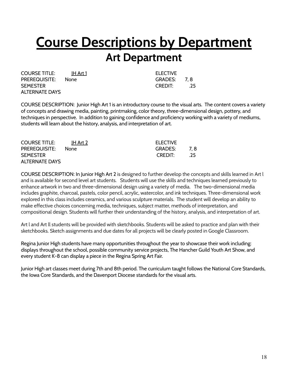# **Course Descriptions by Department**

### **Art Department**

COURSE TITLE: H Art 1 ELECTIVE PREREQUISITE: None GRADES: 7, 8 SEMESTER CREDIT: .25 ALTERNATE DAYS

COURSE DESCRIPTION: Junior High Art 1 is an introductory course to the visual arts. The content covers a variety of concepts and drawing media, painting, printmaking, color theory, three-dimensional design, pottery, and techniques in perspective. In addition to gaining confidence and proficiency working with a variety of mediums, students will learn about the history, analysis, and interpretation of art.

| <b>COURSE TITLE:</b>  | IH Art 2    | <b>ELECTIVE</b> |     |
|-----------------------|-------------|-----------------|-----|
| <b>PREREQUISITE:</b>  | <b>None</b> | GRADES:         | 7.8 |
| <b>SEMESTER</b>       |             | CREDIT:         | .25 |
| <b>ALTERNATE DAYS</b> |             |                 |     |

COURSE DESCRIPTION: In Junior High Art 2 is designed to further develop the concepts and skills learned in Art l and is available for second level art students. Students will use the skills and techniques learned previously to enhance artwork in two and three-dimensional design using a variety of media. The two-dimensional media includes graphite, charcoal, pastels, color pencil, acrylic, watercolor, and ink techniques. Three-dimensional work explored in this class includes ceramics, and various sculpture materials. The student will develop an ability to make effective choices concerning media, techniques, subject matter, methods of interpretation, and compositional design. Students will further their understanding of the history, analysis, and interpretation of art.

Art l and Art ll students will be provided with sketchbooks. Students will be asked to practice and plan with their sketchbooks. Sketch assignments and due dates for all projects will be clearly posted in Google Classroom.

Regina Junior High students have many opportunities throughout the year to showcase their work including: displays throughout the school, possible community service projects, The Hancher Guild Youth Art Show, and every student K-8 can display a piece in the Regina Spring Art Fair.

Junior High art classes meet during 7th and 8th period. The curriculum taught follows the National Core Standards, the Iowa Core Standards, and the Davenport Diocese standards for the visual arts.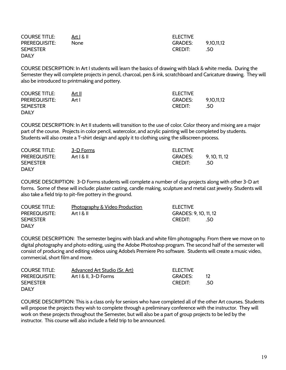| <b>COURSE TITLE:</b> | Art I | <b>ELECTIVE</b> |            |
|----------------------|-------|-----------------|------------|
| <b>PREREQUISITE:</b> | None  | <b>GRADES:</b>  | 9,10,11,12 |
| <b>SEMESTER</b>      |       | <b>CREDIT:</b>  | -50        |
| <b>DAILY</b>         |       |                 |            |

COURSE DESCRIPTION: In Art I students will learn the basics of drawing with black & white media. During the Semester they will complete projects in pencil, charcoal, pen & ink, scratchboard and Caricature drawing. They will also be introduced to printmaking and pottery.

| <b>COURSE TITLE:</b> | <u>Art II</u> | <b>ELECTIVE</b> |            |
|----------------------|---------------|-----------------|------------|
| <b>PREREQUISITE:</b> | Art I         | <b>GRADES:</b>  | 9.10.11.12 |
| <b>SEMESTER</b>      |               | <b>CREDIT:</b>  | .50        |
| <b>DAILY</b>         |               |                 |            |

COURSE DESCRIPTION: In Art II students will transition to the use of color. Color theory and mixing are a major part of the course. Projects in color pencil, watercolor, and acrylic painting will be completed by students. Students will also create a T-shirt design and apply it to clothing using the silkscreen process.

| <b>COURSE TITLE:</b> | 3-D Forms | <b>ELECTIVE</b> |            |
|----------------------|-----------|-----------------|------------|
| <b>PREREQUISITE:</b> | Art R II  | <b>GRADES:</b>  | 9.10.11.12 |
| <b>SEMESTER</b>      |           | <b>CREDIT:</b>  | .50        |
| <b>DAILY</b>         |           |                 |            |

COURSE DESCRIPTION: 3-D Forms students will complete a number of clay projects along with other 3-D art forms. Some of these will include: plaster casting, candle making, sculpture and metal cast jewelry. Students will also take a field trip to pit-fire pottery in the ground.

| <b>COURSE TITLE:</b> | Photography & Video Production | <b>ELECTIVE</b>       |     |
|----------------------|--------------------------------|-----------------------|-----|
| <b>PREREQUISITE:</b> | Art R II                       | GRADES: 9, 10, 11, 12 |     |
| <b>SEMESTER</b>      |                                | <b>CREDIT:</b>        | .50 |
| <b>DAILY</b>         |                                |                       |     |

COURSE DESCRIPTION: The semester begins with black and white film photography. From there we move on to digital photography and photo editing, using the Adobe Photoshop program. The second half of the semester will consist of producing and editing videos using Adobe's Premiere Pro software. Students will create a music video, commercial, short film and more.

| <b>COURSE TITLE:</b> | Advanced Art Studio (Sr. Art) | <b>ELECTIVE</b> |     |
|----------------------|-------------------------------|-----------------|-----|
| <b>PREREQUISITE:</b> | Art $1 \& 11$ , 3-D Forms     | GRADES:         |     |
| <b>SEMESTER</b>      |                               | <b>CREDIT:</b>  | .50 |
| <b>DAILY</b>         |                               |                 |     |

COURSE DESCRIPTION: This is a class only for seniors who have completed all of the other Art courses. Students will propose the projects they wish to complete through a preliminary conference with the instructor. They will work on these projects throughout the Semester, but will also be a part of group projects to be led by the instructor. This course will also include a field trip to be announced.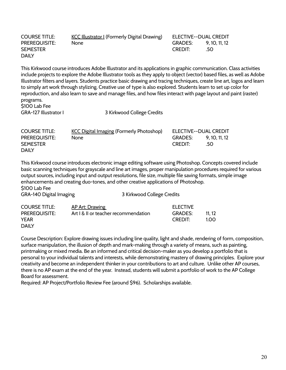| <b>COURSE TITLE:</b> | <u>KCC Illustrator I</u> (Formerly Digital Drawing) | ELECTIVE--DUAL CREDIT |               |
|----------------------|-----------------------------------------------------|-----------------------|---------------|
| <b>PREREQUISITE:</b> | <b>None</b>                                         | GRADES:               | 9, 10, 11, 12 |
| <b>SEMESTER</b>      |                                                     | <b>CREDIT:</b>        | .50           |
| <b>DAILY</b>         |                                                     |                       |               |
|                      |                                                     |                       |               |

This Kirkwood course introduces Adobe Illustrator and its applications in graphic communication. Class activities include projects to explore the Adobe Illustrator tools as they apply to object (vector) based files, as well as Adobe Illustrator filters and layers. Students practice basic drawing and tracing techniques, create line art, logos and learn to simply art work through stylizing. Creative use of type is also explored. Students learn to set up color for reproduction, and also learn to save and manage files, and how files interact with page layout and paint (raster) programs. \$100 Lab Fee

GRA-127 Illustrator I 3 Kirkwood College Credits

| <b>COURSE TITLE:</b> | <b>KCC Digital Imaging (Formerly Photoshop)</b> | ELECTIVE--DUAL CREDIT |            |
|----------------------|-------------------------------------------------|-----------------------|------------|
| <b>PREREQUISITE:</b> | None                                            | <b>GRADES:</b>        | 9.10.11.12 |
| <b>SEMESTER</b>      |                                                 | <b>CREDIT:</b>        | .50        |
| <b>DAILY</b>         |                                                 |                       |            |

This Kirkwood course introduces electronic image editing software using Photoshop. Concepts covered include basic scanning techniques for grayscale and line art images, proper manipulation procedures required for various output sources, including input and output resolutions, file size, multiple file saving formats, simple image enhancements and creating duo-tones, and other creative applications of Photoshop. \$100 Lab Fee

GRA-140 Digital Imaging The College Credits 3 Kirkwood College Credits

| <b>COURSE TITLE:</b> | AP Art: Drawing                      | <b>ELECTIVE</b> |       |
|----------------------|--------------------------------------|-----------------|-------|
| <b>PREREQUISITE:</b> | Art   &    or teacher recommendation | <b>GRADES:</b>  | 11 12 |
| <b>YEAR</b>          |                                      | <b>CREDIT:</b>  | 1.00  |
| <b>DAILY</b>         |                                      |                 |       |

Course Description: Explore drawing issues including line quality, light and shade, rendering of form, composition, surface manipulation, the illusion of depth and mark-making through a variety of means, such as painting, printmaking or mixed media. Be an informed and critical decision-maker as you develop a portfolio that is personal to your individual talents and interests, while demonstrating mastery of drawing principles. Explore your creativity and become an independent thinker in your contributions to art and culture. Unlike other AP courses, there is no AP exam at the end of the year. Instead, students will submit a portfolio of work to the AP College Board for assessment.

Required: AP Project/Portfolio Review Fee (around \$96). Scholarships available.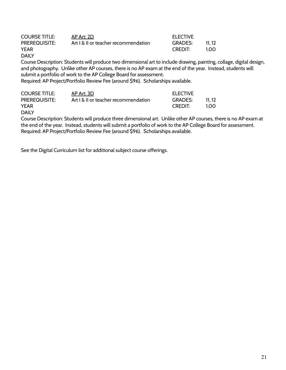| <b>COURSE TITLE:</b> | AP Art: 2D                           | <b>ELECTIVE</b> |       |
|----------------------|--------------------------------------|-----------------|-------|
| <b>PREREQUISITE:</b> | Art   &    or teacher recommendation | <b>GRADES:</b>  | 11.12 |
| <b>YEAR</b>          |                                      | CREDIT:         | 1.00  |
| <b>DAILY</b>         |                                      |                 |       |

Course Description: Students will produce two dimensional art to include drawing, painting, collage, digital design, and photography. Unlike other AP courses, there is no AP exam at the end of the year. Instead, students will submit a portfolio of work to the AP College Board for assessment.

Required: AP Project/Portfolio Review Fee (around \$96). Scholarships available.

| <b>COURSE TITLE:</b> | AP Art: 3D                           | <b>ELECTIVE</b> |       |
|----------------------|--------------------------------------|-----------------|-------|
| <b>PREREQUISITE:</b> | Art   &    or teacher recommendation | <b>GRADES:</b>  | 11 12 |
| <b>YEAR</b>          |                                      | CREDIT:         | 1.00  |
| <b>DAILY</b>         |                                      |                 |       |

Course Description: Students will produce three dimensional art. Unlike other AP courses, there is no AP exam at the end of the year. Instead, students will submit a portfolio of work to the AP College Board for assessment. Required: AP Project/Portfolio Review Fee (around \$96). Scholarships available.

See the Digital Curriculum list for additional subject course offerings.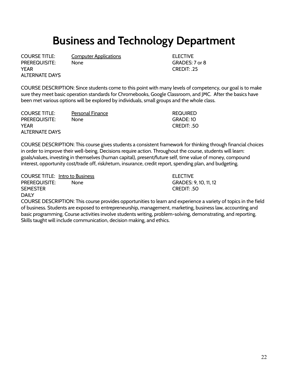### **Business and Technology Department**

PREREQUISITE: None CONSERVERSITY None CRADES: 7 or 8 YEAR CREDIT: .25 ALTERNATE DAYS

COURSE TITLE: Computer Applications ELECTIVE

COURSE DESCRIPTION: Since students come to this point with many levels of competency, our goal is to make sure they meet basic operation standards for Chromebooks, Google Classroom, and JMC. After the basics have been met various options will be explored by individuals, small groups and the whole class.

COURSE TITLE: Personal Finance **Property** REQUIRED PREREQUISITE: None GRADE: 10 YEAR CREDIT: .50 ALTERNATE DAYS

COURSE DESCRIPTION: This course gives students a consistent framework for thinking through financial choices in order to improve their well-being. Decisions require action. Throughout the course, students will learn: goals/values, investing in themselves (human capital), present/future self, time value of money, compound interest, opportunity cost/trade off, risk/return, insurance, credit report, spending plan, and budgeting.

COURSE TITLE: Intro to Business ELECTIVE PREREQUISITE: None CONSERVERSITY None CRADES: 9, 10, 11, 12 SEMESTER CREDIT: .50 **DAILY** 

COURSE DESCRIPTION: This course provides opportunities to learn and experience a variety of topics in the field of business. Students are exposed to entrepreneurship, management, marketing, business law, accounting and basic programming. Course activities involve students writing, problem-solving, demonstrating, and reporting. Skills taught will include communication, decision making, and ethics.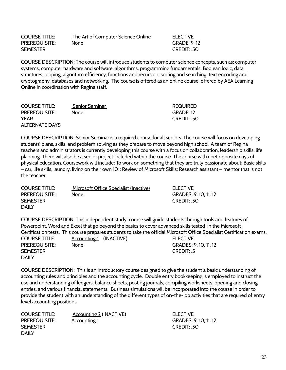| <b>COURSE TITLE:</b> | The Art of Computer Science Online | <b>ELECTIVE</b>    |
|----------------------|------------------------------------|--------------------|
| <b>PREREQUISITE:</b> | None.                              | <b>GRADE: 9-12</b> |
| <b>SEMESTER</b>      |                                    | CREDIT: .50        |

COURSE DESCRIPTION: The course will introduce students to computer science concepts, such as: computer systems, computer hardware and software, algorithms, programming fundamentals, Boolean logic, data structures, looping, algorithm efficiency, functions and recursion, sorting and searching, text encoding and cryptography, databases and networking. The course is offered as an online course, offered by AEA Learning Online in coordination with Regina staff.

| <b>COURSE TITLE:</b>  | Senior Seminar | <b>REQUIRED</b> |
|-----------------------|----------------|-----------------|
| <b>PREREQUISITE:</b>  | None.          | GRADE: 12       |
| <b>YEAR</b>           |                | CREDIT: 50      |
| <b>ALTERNATE DAYS</b> |                |                 |

COURSE DESCRIPTION: Senior Seminar is a required course for all seniors. The course will focus on developing students' plans, skills, and problem solving as they prepare to move beyond high school. A team of Regina teachers and administrators is currently developing this course with a focus on collaboration, leadership skills, life planning. There will also be a senior project included within the course. The course will meet opposite days of physical education. Coursework will include: To work on something that they are truly passionate about; Basic skills – car, life skills, laundry, living on their own 101; Review of Microsoft Skills; Research assistant – mentor that is not the teacher.

| <b>COURSE TITLE:</b> | Microsoft Office Specialist (Inactive) | <b>ELECTIVE</b>       |
|----------------------|----------------------------------------|-----------------------|
| <b>PREREQUISITE:</b> | None                                   | GRADES: 9, 10, 11, 12 |
| <b>SEMESTER</b>      |                                        | CREDIT: 50            |
| <b>DAILY</b>         |                                        |                       |

COURSE DESCRIPTION: This independent study course will guide students through tools and features of Powerpoint, Word and Excel that go beyond the basics to cover advanced skills tested in the Microsoft Certification tests. This course prepares students to take the official Microsoft Office Specialist Certification exams. COURSE TITLE: Accounting 1 (INACTIVE) And THE ELECTIVE PREREQUISITE: None None GRADES: 9, 10, 11, 12 SEMESTER CREDIT: .5 DAILY

COURSE DESCRIPTION: This is an introductory course designed to give the student a basic understanding of accounting rules and principles and the accounting cycle. Double entry bookkeeping is employed to instruct the use and understanding of ledgers, balance sheets, posting journals, compiling worksheets, opening and closing entries, and various financial statements. Business simulations will be incorporated into the course in order to provide the student with an understanding of the different types of on-the-job activities that are required of entry level accounting positions

| <b>COURSE TITLE:</b> | <b>Accounting 2 (INACTIVE)</b> | <b>ELECTIVE</b>       |
|----------------------|--------------------------------|-----------------------|
| <b>PREREQUISITE:</b> | Accounting 1                   | GRADES: 9, 10, 11, 12 |
| <b>SEMESTER</b>      |                                | CREDIT: 50            |
| <b>DAIIY</b>         |                                |                       |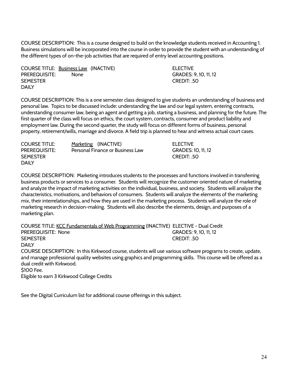COURSE DESCRIPTION: This is a course designed to build on the knowledge students received in Accounting 1. Business simulations will be incorporated into the course in order to provide the student with an understanding of the different types of on-the-job activities that are required of entry level accounting positions.

COURSE TITLE: Business Law (INACTIVE) ELECTIVE PREREQUISITE: None None GRADES: 9, 10, 11, 12 SEMESTER CREDIT: .50 **DAILY** 

COURSE DESCRIPTION: This is a one semester class designed to give students an understanding of business and personal law. Topics to be discussed include: understanding the law and our legal system, entering contracts, understanding consumer law, being an agent and getting a job, starting a business, and planning for the future. The first quarter of the class will focus on ethics, the court system, contracts, consumer and product liability and employment law. During the second quarter, the study will focus on different forms of business, personal property, retirement/wills, marriage and divorce. A field trip is planned to hear and witness actual court cases.

| <b>COURSE TITLE:</b> | Marketing (INACTIVE)             | <b>ELECTIVE</b>    |
|----------------------|----------------------------------|--------------------|
| <b>PREREQUISITE:</b> | Personal Finance or Business Law | GRADES: 10, 11, 12 |
| <b>SEMESTER</b>      |                                  | CREDIT: 50         |
| <b>DAILY</b>         |                                  |                    |

COURSE DESCRIPTION: Marketing introduces students to the processes and functions involved in transferring business products or services to a consumer. Students will recognize the customer oriented nature of marketing and analyze the impact of marketing activities on the individual, business, and society. Students will analyze the characteristics, motivations, and behaviors of consumers. Students will analyze the elements of the marketing mix, their interrelationships, and how they are used in the marketing process. Students will analyze the role of marketing research in decision-making. Students will also describe the elements, design, and purposes of a marketing plan.

COURSE TITLE: KCC Fundamentals of Web Programming (INACTIVE) ELECTIVE - Dual Credit PREREQUISITE: None GRADES: 9, 10, 11, 12 SEMESTER CREDIT: .50 DAILY

COURSE DESCRIPTION: In this Kirkwood course, students will use various software programs to create, update, and manage professional quality websites using graphics and programming skills. This course will be offered as a dual credit with Kirkwood.

\$100 Fee.

Eligible to earn 3 Kirkwood College Credits

See the Digital Curriculum list for additional course offerings in this subject.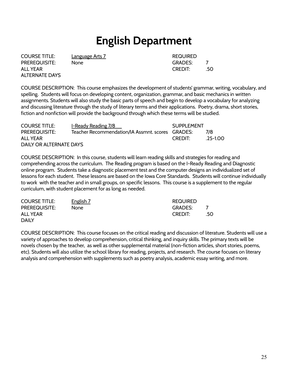### **English Department**

**COURSE TITLE:** Language Arts 7 All Allen and REQUIRED PREREQUISITE: None GRADES: 7 ALL YEAR GREDIT: 50 ALTERNATE DAYS

COURSE DESCRIPTION: This course emphasizes the development of students' grammar, writing, vocabulary, and spelling. Students will focus on developing content, organization, grammar, and basic mechanics in written assignments. Students will also study the basic parts of speech and begin to develop a vocabulary for analyzing and discussing literature through the study of literary terms and their applications. Poetry, drama, short stories, fiction and nonfiction will provide the background through which these terms will be studied.

| <b>COURSE TITLE:</b>    | I-Ready Reading 7/8                              | <b>SUPPLEMENT</b> |          |
|-------------------------|--------------------------------------------------|-------------------|----------|
| <b>PREREQUISITE:</b>    | Teacher Recommendation/IA Assmnt. scores GRADES: |                   | 7/8      |
| ALL YEAR                |                                                  | <b>CREDIT:</b>    | .25-1.00 |
| DAILY OR ALTERNATE DAYS |                                                  |                   |          |

COURSE DESCRIPTION: In this course, students will learn reading skills and strategies for reading and comprehending across the curriculum. The Reading program is based on the I-Ready Reading and Diagnostic online program. Students take a diagnostic placement test and the computer designs an individualized set of lessons for each student. These lessons are based on the Iowa Core Standards. Students will continue individually to work with the teacher and in small groups, on specific lessons. This course is a supplement to the regular curriculum, with student placement for as long as needed.

| <b>COURSE TITLE:</b> | English 7 | <b>REQUIRED</b> |     |
|----------------------|-----------|-----------------|-----|
| <b>PREREQUISITE:</b> | None      | <b>GRADES:</b>  |     |
| ALL YEAR             |           | <b>CREDIT:</b>  | .50 |
| <b>DAILY</b>         |           |                 |     |

COURSE DESCRIPTION: This course focuses on the critical reading and discussion of literature. Students will use a variety of approaches to develop comprehension, critical thinking, and inquiry skills. The primary texts will be novels chosen by the teacher, as well as other supplemental material (non-fiction articles, short stories, poems, etc). Students will also utilize the school library for reading, projects, and research. The course focuses on literary analysis and comprehension with supplements such as poetry analysis, academic essay writing, and more.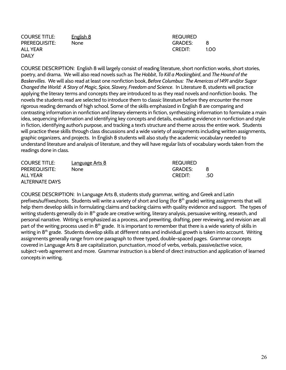| <b>COURSE TITLE:</b> | <u>English 8</u> | <b>REQUIRED</b> |      |
|----------------------|------------------|-----------------|------|
| <b>PREREQUISITE:</b> | None             | <b>GRADES:</b>  | -8   |
| ALL YEAR             |                  | CREDIT:         | 1.00 |
| <b>DAILY</b>         |                  |                 |      |

COURSE DESCRIPTION: English 8 will largely consist of reading literature, short nonfiction works, short stories, poetry, and drama. We will also read novels such as *The Hobbit*, *To Kill a Mockingbird*, and *The Hound of the Baskervilles*. We will also read at least one nonfiction book, *Before Columbus: The Americas of 1491* and/or *Sugar Changed the World: A Story of Magic, Spice, Slavery, Freedom and Science*. In Literature 8, students will practice applying the literary terms and concepts they are introduced to as they read novels and nonfiction books. The novels the students read are selected to introduce them to classic literature before they encounter the more rigorous reading demands of high school. Some of the skills emphasized in English 8 are comparing and contrasting information in nonfiction and literary elements in fiction, synthesizing information to formulate a main idea, sequencing information and identifying key concepts and details, evaluating evidence in nonfiction and style in fiction, identifying author's purpose, and tracking a text's structure and theme across the entire work. Students will practice these skills through class discussions and a wide variety of assignments including written assignments, graphic organizers, and projects. In English 8 students will also study the academic vocabulary needed to understand literature and analysis of literature, and they will have regular lists of vocabulary words taken from the readings done in class.

| <b>COURSE TITLE:</b>  | <b>Language Arts 8</b> | <b>REQUIRED</b> |     |
|-----------------------|------------------------|-----------------|-----|
| <b>PREREQUISITE:</b>  | None                   | GRADES:         | -8  |
| ALL YEAR              |                        | <b>CREDIT:</b>  | .50 |
| <b>ALTERNATE DAYS</b> |                        |                 |     |

COURSE DESCRIPTION: In Language Arts 8, students study grammar, writing, and Greek and Latin prefixes/suffixes/roots. Students will write a variety of short and long (for 8<sup>th</sup> grade) writing assignments that will help them develop skills in formulating claims and backing claims with quality evidence and support. The types of writing students generally do in 8<sup>th</sup> grade are creative writing, literary analysis, persuasive writing, research, and personal narrative. Writing is emphasized as a process, and prewriting, drafting, peer reviewing, and revision are all part of the writing process used in 8<sup>th</sup> grade. It is important to remember that there is a wide variety of skills in writing in 8<sup>th</sup> grade. Students develop skills at different rates and individual growth is taken into account. Writing assignments generally range from one paragraph to three typed, double-spaced pages. Grammar concepts covered in Language Arts 8 are capitalization, punctuation, mood of verbs, verbals, passive/active voice, subject-verb agreement and more. Grammar instruction is a blend of direct instruction and application of learned concepts in writing.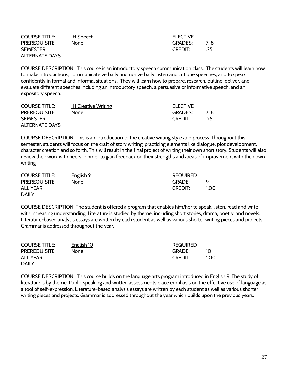| <b>COURSE TITLE:</b>  | <u>IH Speech</u> | <b>ELECTIVE</b> |     |
|-----------------------|------------------|-----------------|-----|
| <b>PREREQUISITE:</b>  | None             | <b>GRADES:</b>  | 7.8 |
| <b>SEMESTER</b>       |                  | <b>CREDIT:</b>  | .25 |
| <b>ALTERNATE DAYS</b> |                  |                 |     |

COURSE DESCRIPTION: This course is an introductory speech communication class. The students will learn how to make introductions, communicate verbally and nonverbally, listen and critique speeches, and to speak confidently in formal and informal situations. They will learn how to prepare, research, outline, deliver, and evaluate different speeches including an introductory speech, a persuasive or informative speech, and an expository speech.

| <b>COURSE TITLE:</b>  | <b>IH Creative Writing</b> | <b>ELECTIVE</b> |     |
|-----------------------|----------------------------|-----------------|-----|
| <b>PREREQUISITE:</b>  | None                       | GRADES:         | 7.8 |
| <b>SEMESTER</b>       |                            | <b>CREDIT:</b>  | .25 |
| <b>ALTERNATE DAYS</b> |                            |                 |     |

COURSE DESCRIPTION: This is an introduction to the creative writing style and process. Throughout this semester, students will focus on the craft of story writing, practicing elements like dialogue, plot development, character creation and so forth. This will result in the final project of writing their own short story. Students will also review their work with peers in order to gain feedback on their strengths and areas of improvement with their own writing.

| <b>COURSE TITLE:</b> | English 9 | <b>REQUIRED</b> |      |
|----------------------|-----------|-----------------|------|
| <b>PREREQUISITE:</b> | None.     | GRADE:          | Q    |
| ALL YEAR             |           | <b>CREDIT:</b>  | 100. |
| <b>DAILY</b>         |           |                 |      |

COURSE DESCRIPTION: The student is offered a program that enables him/her to speak, listen, read and write with increasing understanding. Literature is studied by theme, including short stories, drama, poetry, and novels. Literature-based analysis essays are written by each student as well as various shorter writing pieces and projects. Grammar is addressed throughout the year.

| <b>COURSE TITLE:</b> | English 10  | <b>REQUIRED</b> |     |
|----------------------|-------------|-----------------|-----|
| <b>PREREQUISITE:</b> | <b>None</b> | GRADE:          | 1O  |
| <b>ALL YEAR</b>      |             | <b>CREDIT:</b>  | 100 |
| <b>DAILY</b>         |             |                 |     |

COURSE DESCRIPTION: This course builds on the language arts program introduced in English 9. The study of literature is by theme. Public speaking and written assessments place emphasis on the effective use of language as a tool of self-expression. Literature-based analysis essays are written by each student as well as various shorter writing pieces and projects. Grammar is addressed throughout the year which builds upon the previous years.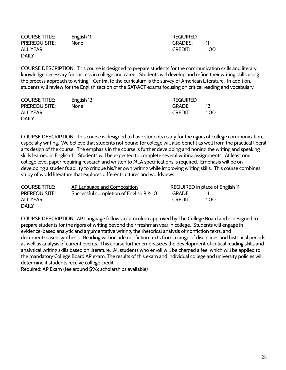| <b>COURSE TITLE:</b> | English 11 | <b>REQUIRED</b> |      |
|----------------------|------------|-----------------|------|
| <b>PREREQUISITE:</b> | None       | <b>GRADES:</b>  |      |
| <b>ALL YEAR</b>      |            | CREDIT:         | 1.00 |
| <b>DAILY</b>         |            |                 |      |

COURSE DESCRIPTION: This course is designed to prepare students for the communication skills and literary knowledge necessary for success in college and career. Students will develop and refine their writing skills using the process approach to writing. Central to the curriculum is the survey of American Literature. In addition, students will review for the English section of the SAT/ACT exams focusing on critical reading and vocabulary.

| <b>COURSE TITLE:</b> | <u>English 12</u> | <b>REQUIRED</b> |     |
|----------------------|-------------------|-----------------|-----|
| <b>PREREQUISITE:</b> | None              | GRADE:          |     |
| ALL YEAR             |                   | <b>CREDIT:</b>  | 100 |
| <b>DAILY</b>         |                   |                 |     |

COURSE DESCRIPTION: This course is designed to have students ready for the rigors of college communication, especially writing. We believe that students not bound for college will also benefit as well from the practical liberal arts design of the course. The emphasis in the course is further developing and honing the writing and speaking skills learned in English 11. Students will be expected to complete several writing assignments. At least one college level paper requiring research and written to MLA specifications is required. Emphasis will be on developing a student's ability to critique his/her own writing while improving writing skills. This course combines study of world literature that explores different cultures and worldviews.

| <b>COURSE TITLE:</b> | AP Language and Composition             |                | REQUIRED in place of English 11 |
|----------------------|-----------------------------------------|----------------|---------------------------------|
| <b>PREREQUISITE:</b> | Successful completion of English 9 & 10 | GRADE:         |                                 |
| ALL YEAR             |                                         | <b>CREDIT:</b> | 1.OO.                           |
| <b>DAILY</b>         |                                         |                |                                 |

COURSE DESCRIPTION: AP Language follows a curriculum approved by The College Board and is designed to prepare students for the rigors of writing beyond their freshman year in college. Students will engage in evidence-based analytic and argumentative writing, the rhetorical analysis of nonfiction texts, and document-based synthesis. Reading will include nonfiction texts from a range of disciplines and historical periods as well as analysis of current events. This course further emphasizes the development of critical reading skills and analytical writing skills based on literature. All students who enroll will be charged a fee, which will be applied to the mandatory College Board AP exam. The results of this exam and individual college and university policies will determine if students receive college credit.

Required: AP Exam (fee around \$96; scholarships available)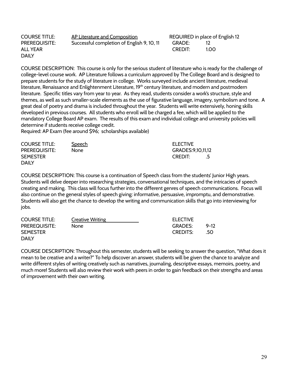| <b>COURSE TITLE:</b> | AP Literature and Composition              | REQUIRED in place o |      |
|----------------------|--------------------------------------------|---------------------|------|
| <b>PREREQUISITE:</b> | Successful completion of English 9, 10, 11 | GRADE:              |      |
| <b>ALL YEAR</b>      |                                            | <b>CREDIT:</b>      | 1.00 |
| <b>DAILY</b>         |                                            |                     |      |

REQUIRED in place of English 12

COURSE DESCRIPTION: This course is only for the serious student of literature who is ready for the challenge of college-level course work. AP Literature follows a curriculum approved by The College Board and is designed to prepare students for the study of literature in college. Works surveyed include ancient literature, medieval literature, Renaissance and Enlightenment Literature, 19<sup>th</sup> century literature, and modern and postmodern literature. Specific titles vary from year to year. As they read, students consider a work's structure, style and themes, as well as such smaller-scale elements as the use of figurative language, imagery, symbolism and tone. A great deal of poetry and drama is included throughout the year. Students will write extensively, honing skills developed in previous courses. All students who enroll will be charged a fee, which will be applied to the mandatory College Board AP exam. The results of this exam and individual college and university policies will determine if students receive college credit.

Required: AP Exam (fee around \$96; scholarships available)

| <b>COURSE TITLE:</b> | <b>Speech</b> | <b>ELECTIVE</b>   |
|----------------------|---------------|-------------------|
| <b>PREREQUISITE:</b> | None          | GRADES:9,10,11,12 |
| <b>SEMESTER</b>      |               | CREDIT:           |
| <b>DAILY</b>         |               |                   |

COURSE DESCRIPTION: This course is a continuation of Speech class from the students' Junior High years. Students will delve deeper into researching strategies, conversational techniques, and the intricacies of speech creating and making. This class will focus further into the different genres of speech communications. Focus will also continue on the general styles of speech giving: informative, persuasive, impromptu, and demonstrative. Students will also get the chance to develop the writing and communication skills that go into interviewing for jobs.

| <b>COURSE TITLE:</b> | <b>Creative Writing</b> | <b>ELECTIVE</b> |          |
|----------------------|-------------------------|-----------------|----------|
| <b>PREREQUISITE:</b> | None.                   | GRADES:         | $9 - 12$ |
| <b>SEMESTER</b>      |                         | <b>CREDITS:</b> | -50      |
| <b>DAILY</b>         |                         |                 |          |

COURSE DESCRIPTION: Throughout this semester, students will be seeking to answer the question, "What does it mean to be creative and a writer?" To help discover an answer, students will be given the chance to analyze and write different styles of writing creatively such as narratives, journaling, descriptive essays, memoirs, poetry, and much more! Students will also review their work with peers in order to gain feedback on their strengths and areas of improvement with their own writing.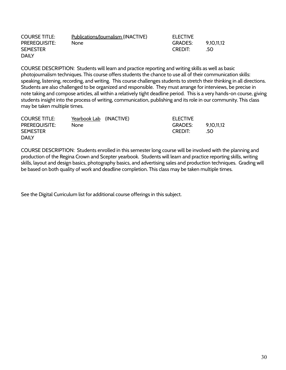| <b>COURSE TITLE:</b> | Publications/Journalism (INACTIVE) | <b>ELECTIVE</b> |            |
|----------------------|------------------------------------|-----------------|------------|
| <b>PREREQUISITE:</b> | None.                              | <b>GRADES:</b>  | 9.10.11.12 |
| <b>SEMESTER</b>      |                                    | <b>CREDIT:</b>  | -50        |
| <b>DAILY</b>         |                                    |                 |            |

COURSE DESCRIPTION: Students will learn and practice reporting and writing skills as well as basic photojournalism techniques. This course offers students the chance to use all of their communication skills: speaking, listening, recording, and writing. This course challenges students to stretch their thinking in all directions. Students are also challenged to be organized and responsible. They must arrange for interviews, be precise in note taking and compose articles, all within a relatively tight deadline period. This is a very hands-on course, giving students insight into the process of writing, communication, publishing and its role in our community. This class may be taken multiple times.

| <b>COURSE TITLE:</b> | Yearbook Lab (INACTIVE) | <b>ELECTIVE</b> |            |
|----------------------|-------------------------|-----------------|------------|
| <b>PREREQUISITE:</b> | None                    | <b>GRADES:</b>  | 9.10.11.12 |
| <b>SEMESTER</b>      |                         | <b>CREDIT:</b>  | .50        |
| <b>DAILY</b>         |                         |                 |            |

COURSE DESCRIPTION: Students enrolled in this semester long course will be involved with the planning and production of the Regina Crown and Scepter yearbook. Students will learn and practice reporting skills, writing skills, layout and design basics, photography basics, and advertising sales and production techniques. Grading will be based on both quality of work and deadline completion. This class may be taken multiple times.

See the Digital Curriculum list for additional course offerings in this subject.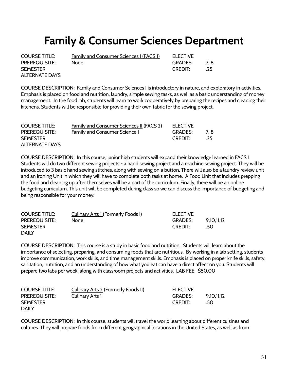### **Family & Consumer Sciences Department**

| <b>COURSE TITLE:</b> | <u>Family and Consumer Sciences I (FACS 1)</u> | <b>ELECTIVE</b> |        |
|----------------------|------------------------------------------------|-----------------|--------|
| PREREQUISITE:        | None                                           | GRADES:         | - 7. 8 |
| <b>SEMESTER</b>      |                                                | CREDIT:         | .25    |
| ALTERNATE DAYS       |                                                |                 |        |

COURSE DESCRIPTION: Family and Consumer Sciences I is introductory in nature, and exploratory in activities. Emphasis is placed on food and nutrition, laundry, simple sewing tasks, as well as a basic understanding of money management. In the food lab, students will learn to work cooperatively by preparing the recipes and cleaning their kitchens. Students will be responsible for providing their own fabric for the sewing project.

| <b>COURSE TITLE:</b>  | Family and Consumer Sciences II (FACS 2) | <b>ELECTIVE</b> |       |
|-----------------------|------------------------------------------|-----------------|-------|
| <b>PREREQUISITE:</b>  | <b>Family and Consumer Science I</b>     | GRADES:         | 7.8   |
| <b>SEMESTER</b>       |                                          | <b>CREDIT:</b>  | $-25$ |
| <b>ALTERNATE DAYS</b> |                                          |                 |       |

COURSE DESCRIPTION: In this course, junior high students will expand their knowledge learned in FACS 1. Students will do two different sewing projects - a hand sewing project and a machine sewing project. They will be introduced to 3 basic hand sewing stitches, along with sewing on a button. There will also be a laundry review unit and an Ironing Unit in which they will have to complete both tasks at home. A Food Unit that includes prepping the food and cleaning up after themselves will be a part of the curriculum. Finally, there will be an online budgeting curriculum. This unit will be completed during class so we can discuss the importance of budgeting and being responsible for your money.

| <b>COURSE TITLE:</b> | Culinary Arts 1 (Formerly Foods I) | <b>ELECTIVE</b> |            |
|----------------------|------------------------------------|-----------------|------------|
| <b>PREREQUISITE:</b> | None                               | <b>GRADES:</b>  | 9,10,11,12 |
| <b>SEMESTER</b>      |                                    | <b>CREDIT:</b>  | .50        |
| <b>DAILY</b>         |                                    |                 |            |

COURSE DESCRIPTION: This course is a study in basic food and nutrition. Students will learn about the importance of selecting, preparing, and consuming foods that are nutritious. By working in a lab setting, students improve communication, work skills, and time management skills. Emphasis is placed on proper knife skills, safety, sanitation, nutrition, and an understanding of how what you eat can have a direct affect on you. Students will prepare two labs per week, along with classroom projects and activities. LAB FEE: \$50.00

| <b>COURSE TITLE:</b> | Culinary Arts 2 (Formerly Foods II) | <b>ELECTIVE</b> |            |
|----------------------|-------------------------------------|-----------------|------------|
| <b>PREREQUISITE:</b> | Culinary Arts 1                     | <b>GRADES:</b>  | 9.10.11.12 |
| <b>SEMESTER</b>      |                                     | <b>CREDIT:</b>  | -50        |
| <b>DAILY</b>         |                                     |                 |            |

COURSE DESCRIPTION: In this course, students will travel the world learning about different cuisines and cultures. They will prepare foods from different geographical locations in the United States, as well as from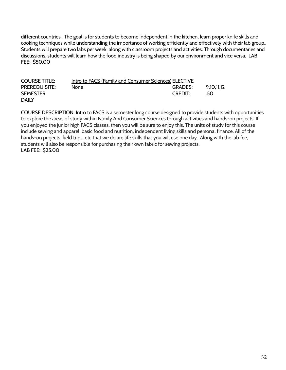different countries. The goal is for students to become independent in the kitchen, learn proper knife skills and cooking techniques while understanding the importance of working efficiently and effectively with their lab group.. Students will prepare two labs per week, along with classroom projects and activities. Through documentaries and discussions, students will learn how the food industry is being shaped by our environment and vice versa. LAB FEE: \$50.00

| <b>COURSE TITLE:</b> | Intro to FACS (Family and Consumer Sciences) ELECTIVE |                |            |
|----------------------|-------------------------------------------------------|----------------|------------|
| <b>PREREQUISITE:</b> | None.                                                 | <b>GRADES:</b> | 9.10.11.12 |
| <b>SEMESTER</b>      |                                                       | <b>CREDIT:</b> | - 50       |
| <b>DAILY</b>         |                                                       |                |            |

COURSE DESCRIPTION: Intro to FACS is a semester long course designed to provide students with opportunities to explore the areas of study within Family And Consumer Sciences through activities and hands-on projects. If you enjoyed the junior high FACS classes, then you will be sure to enjoy this. The units of study for this course include sewing and apparel, basic food and nutrition, independent living skills and personal finance. All of the hands-on projects, field trips, etc that we do are life skills that you will use one day. Along with the lab fee, students will also be responsible for purchasing their own fabric for sewing projects. LAB FEE: \$25.00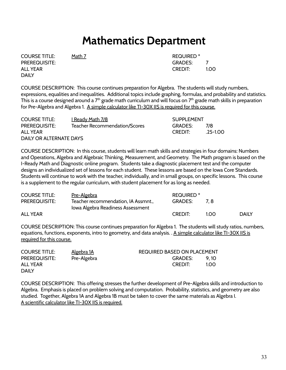### **Mathematics Department**

COURSE TITLE: Math 7 REQUIRED \* PREREQUISITE: GRADES: 7 **DAILY** 

ALL YEAR THE CREDIT: The SALL YEAR THAT IS A CREDIT: THE CREDIT: THE 1.00

COURSE DESCRIPTION: This course continues preparation for Algebra. The students will study numbers, expressions, equalities and inequalities. Additional topics include graphing, formulas, and probability and statistics. This is a course designed around a  $7<sup>th</sup>$  grade math curriculum and will focus on  $7<sup>th</sup>$  grade math skills in preparation for Pre-Algebra and Algebra 1. A simple calculator like TI-30X IIS is required for this course.

| <b>COURSE TITLE:</b>    | <u>I Ready Math 7/8</u>       | <b>SUPPLEMENT</b> |              |
|-------------------------|-------------------------------|-------------------|--------------|
| <b>PREREQUISITE:</b>    | Teacher Recommendation/Scores | GRADES:           | 7/8          |
| ALL YEAR                |                               | <b>CREDIT:</b>    | $.25 - 1.00$ |
| DAILY OR ALTERNATE DAYS |                               |                   |              |

COURSE DESCRIPTION: In this course, students will learn math skills and strategies in four domains: Numbers and Operations, Algebra and Algebraic Thinking, Measurement, and Geometry. The Math program is based on the I-Ready Math and Diagnostic online program. Students take a diagnostic placement test and the computer designs an individualized set of lessons for each student. These lessons are based on the Iowa Core Standards. Students will continue to work with the teacher, individually, and in small groups, on specific lessons. This course is a supplement to the regular curriculum, with student placement for as long as needed.

| <b>COURSE TITLE:</b> | <u>Pre-Algebra</u>                                                       | REQUIRED <sup>*</sup> |       |              |
|----------------------|--------------------------------------------------------------------------|-----------------------|-------|--------------|
| <b>PREREQUISITE:</b> | Teacher recommendation, IA Assmnt.,<br>Iowa Algebra Readiness Assessment | <b>GRADES:</b>        | - 7 R |              |
| <b>ALL YEAR</b>      |                                                                          | <b>CREDIT:</b>        | 1 ດດ  | <b>DAILY</b> |

COURSE DESCRIPTION: This course continues preparation for Algebra 1. The students will study ratios, numbers, equations, functions, exponents, intro to geometry, and data analysis. . A simple calculator like TI-30X IIS is required for this course.

| <b>COURSE TITLE:</b> | <u>Algebra 1A</u> | <b>REQUIRED BASED ON PLACEMENT</b> |
|----------------------|-------------------|------------------------------------|
| <b>PREREQUISITE:</b> | Pre-Algebra       | <b>GRADES:</b><br><b>910</b>       |
| <b>ALL YEAR</b>      |                   | <b>CREDIT:</b><br>1.00             |
| <b>DAIIY</b>         |                   |                                    |

COURSE DESCRIPTION: This offering stresses the further development of Pre-Algebra skills and introduction to Algebra. Emphasis is placed on problem solving and computation. Probability, statistics, and geometry are also studied. Together, Algebra 1A and Algebra 1B must be taken to cover the same materials as Algebra I. A scientific calculator like TI-30X IIS is required.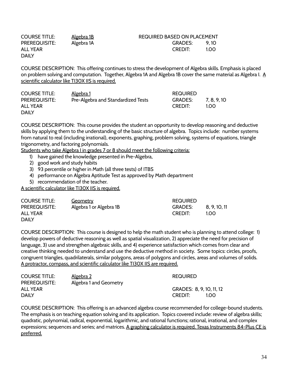| <b>COURSE TITLE:</b> | <u>Algebra 1B</u> | <b>REQUIRED BASED ON PLACEMENT</b> |
|----------------------|-------------------|------------------------------------|
| <b>PREREQUISITE:</b> | Algebra 1A        | GRADES:<br>9 1 O                   |
| ALL YEAR             |                   | <b>CREDIT:</b><br>1.00             |
| <b>DAILY</b>         |                   |                                    |

COURSE DESCRIPTION: This offering continues to stress the development of Algebra skills. Emphasis is placed on problem solving and computation. Together, Algebra 1A and Algebra 1B cover the same material as Algebra I. A scientific calculator like TI30X IIS is required.

| <b>COURSE TITLE:</b> | <u>Algebra 1</u>                   | <b>REQUIRED</b> |          |
|----------------------|------------------------------------|-----------------|----------|
| <b>PREREQUISITE:</b> | Pre-Algebra and Standardized Tests | <b>GRADES:</b>  | 7.8.9.10 |
| ALL YEAR             |                                    | <b>CREDIT:</b>  | 1 O.O    |
| <b>DAILY</b>         |                                    |                 |          |

COURSE DESCRIPTION: This course provides the student an opportunity to develop reasoning and deductive skills by applying them to the understanding of the basic structure of algebra. Topics include: number systems from natural to real (including irrational), exponents, graphing, problem solving, systems of equations, triangle trigonometry, and factoring polynomials.

Students who take Algebra I in grades 7 or 8 should meet the following criteria:

- 1) have gained the knowledge presented in Pre-Algebra,
- 2) good work and study habits
- 3) 93 percentile or higher in Math (all three tests) of ITBS
- 4) performance on Algebra Aptitude Test as approved by Math department
- 5) recommendation of the teacher.

A scientific calculator like TI30X IIS is required.

| <b>COURSE TITLE:</b> | Geometry                | <b>REQUIRED</b> |           |
|----------------------|-------------------------|-----------------|-----------|
| <b>PREREQUISITE:</b> | Algebra 1 or Algebra 1B | <b>GRADES:</b>  | 8.9.10.11 |
| ALL YEAR             |                         | <b>CREDIT:</b>  | 1.OO      |
| <b>DAILY</b>         |                         |                 |           |

COURSE DESCRIPTION: This course is designed to help the math student who is planning to attend college: 1) develop powers of deductive reasoning as well as spatial visualization, 2) appreciate the need for precision of language, 3) use and strengthen algebraic skills, and 4) experience satisfaction which comes from clear and creative thinking needed to understand and use the deductive method in society. Some topics: circles, proofs, congruent triangles, quadrilaterals, similar polygons, areas of polygons and circles, areas and volumes of solids. A protractor, compass, and scientific calculator like TI30X IIS are required.

| <b>COURSE TITLE:</b> | <u>Algebra 2</u>       | <b>REQUIRED</b>          |
|----------------------|------------------------|--------------------------|
| <b>PREREQUISITE:</b> | Algebra 1 and Geometry |                          |
| ALL YEAR             |                        | GRADES: 8, 9, 10, 11, 12 |
| <b>DAILY</b>         |                        | <b>CREDIT:</b><br>1.OO.  |

COURSE DESCRIPTION: This offering is an advanced algebra course recommended for college-bound students. The emphasis is on teaching equation solving and its application. Topics covered include: review of algebra skills; quadratic, polynomial, radical, exponential, logarithmic, and rational functions; rational, irrational, and complex expressions; sequences and series; and matrices. A graphing calculator is required. Texas Instruments 84-Plus CE is preferred.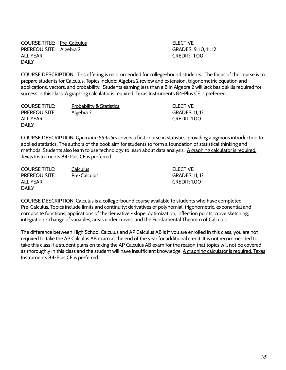COURSE TITLE: Pre-Calculus **ELECTIVE** PREREQUISITE: Algebra 2 GRADES: 9, 10, 11, 12 ALL YEAR CREDIT: 1.00 DAILY

COURSE DESCRIPTION: This offering is recommended for college-bound students. The focus of the course is to prepare students for Calculus. Topics include: Algebra 2 review and extension, trigonometric equation and applications, vectors, and probability. Students earning less than a B in Algebra 2 will lack basic skills required for success in this class. A graphing calculator is required. Texas Instruments 84-Plus CE is preferred.

COURSE TITLE: Probability & Statistics ELECTIVE PREREQUISITE: Algebra 2 GRADES: 11, 12 ALL YEAR CREDIT: 1.00 DAILY

COURSE DESCRIPTION: *Open Intro Statistics* covers a first course in statistics, providing a rigorous introduction to applied statistics. The authors of the book aim for students to form a foundation of statistical thinking and methods. Students also learn to use technology to learn about data analysis. A graphing calculator is required. Texas Instruments 84-Plus CE is preferred.

| COURSE TITLE: | Calculus     | ELECTIVE              |
|---------------|--------------|-----------------------|
| PREREQUISITE: | Pre-Calculus | <b>GRADES: 11, 12</b> |
| ALL YEAR      |              | CREDIT: 1.00          |
| DAILY         |              |                       |

COURSE DESCRIPTION: Calculus is a college-bound course available to students who have completed Pre-Calculus. Topics include limits and continuity; derivatives of polynomial, trigonometric, exponential and composite functions; applications of the derivative - slope, optimization; inflection points, curve sketching; integration - change of variables, areas under curves; and the Fundamental Theorem of Calculus.

The difference between High School Calculus and AP Calculus AB is if you are enrolled in this class, you are not required to take the AP Calculus AB exam at the end of the year for additional credit. It is not recommended to take this class if a student plans on taking the AP Calculus AB exam for the reason that topics will not be covered as thoroughly in this class and the student will have insufficient knowledge. A graphing calculator is required. Texas Instruments 84-Plus CE is preferred.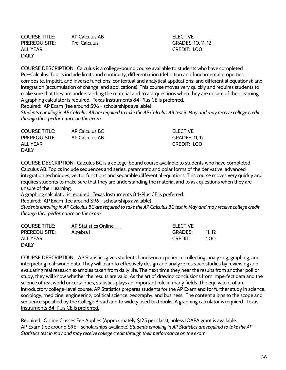COURSE TITLE: AP Calculus AB ELECTIVE ALL YEAR CREDIT: 1.00 DAILY

PREREQUISITE: Pre-Calculus GRADES: 10, 11, 12

COURSE DESCRIPTION: Calculus is a college-bound course available to students who have completed Pre-Calculus. Topics include limits and continuity; differentiation (definition and fundamental properties; composite, implicit, and inverse functions; contextual and analytical applications; and differential equations); and integration (accumulation of change; and applications). This course moves very quickly and requires students to make sure that they are understanding the material and to ask questions when they are unsure of their learning. A graphing calculator is required. Texas Instruments 84-Plus CE is preferred.

Required: AP Exam (fee around \$96 - scholarships available)

*Students enrolling in AP Calculus AB are required to take the AP Calculus AB test in May and may receive college credit through their performance on the exam.*

COURSE TITLE: AP Calculus BC ELECTIVE PREREQUISITE: AP Calculus AB GRADES: 11, 12 ALL YEAR CREDIT: 1.00 DAILY

COURSE DESCRIPTION: Calculus BC is a college-bound course available to students who have completed Calculus AB. Topics include sequences and series, parametric and polar forms of the derivative, advanced integration techniques, vector functions and separable differential equations. This course moves very quickly and requires students to make sure that they are understanding the material and to ask questions when they are unsure of their learning.

A graphing calculator is required. Texas Instruments 84-Plus CE is preferred.

Required: AP Exam (fee around \$96 - scholarships available)

*Students enrolling in AP Calculus BC are required to take the AP Calculus BC test in May and may receive college credit through their performance on the exam.* 

| <b>COURSE TITLE:</b> | AP Statistics Online | ELECTIVE       |        |
|----------------------|----------------------|----------------|--------|
| <b>PREREQUISITE:</b> | Algebra II           | <b>GRADES:</b> | 11, 12 |
| ALL YEAR             |                      | <b>CREDIT:</b> | 1.00   |
| <b>DAILY</b>         |                      |                |        |

COURSE DESCRIPTION: AP Statistics gives students hands-on experience collecting, analyzing, graphing, and interpreting real-world data. They will learn to effectively design and analyze research studies by reviewing and evaluating real research examples taken from daily life. The next time they hear the results from another poll or study, they will know whether the results are valid. As the art of drawing conclusions from imperfect data and the science of real world uncertainties, statistics plays an important role in many fields. The equivalent of an introductory college-level course, AP Statistics prepares students for the AP Exam and for further study in science, sociology, medicine, engineering, political science, geography, and business. The content aligns to the scope and sequence specified by the College Board and to widely used textbooks. A graphing calculator is required. Texas Instruments 84-Plus CE is preferred.

Required: Online Classes Fee Applies (Approximately \$125 per class), unless IOAPA grant is available. AP Exam (fee around \$96 - scholarships available) *Students enrolling in AP Statistics are required to take the AP Statistics test in May and may receive college credit through their performance on the exam.*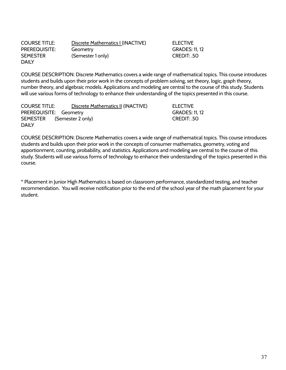| <b>COURSE TITLE:</b> | Discrete Mathematics I (INACTIVE) |
|----------------------|-----------------------------------|
| PREREQUISITE:        | Geometry                          |
| <b>SEMESTER</b>      | (Semester 1 only)                 |
| <b>DAILY</b>         |                                   |

COURSE DESCRIPTION: Discrete Mathematics covers a wide range of mathematical topics. This course introduces students and builds upon their prior work in the concepts of problem solving, set theory, logic, graph theory, number theory, and algebraic models. Applications and modeling are central to the course of this study. Students will use various forms of technology to enhance their understanding of the topics presented in this course.

ELECTIVE **GRADES: 11, 12** CREDIT: .50

| <b>COURSE TITLE:</b>       | Discrete Mathematics II (INACTIVE) | <b>ELECTIVE</b>       |
|----------------------------|------------------------------------|-----------------------|
| PREREQUISITE: Geometry     |                                    | <b>GRADES: 11, 12</b> |
| SEMESTER (Semester 2 only) |                                    | CREDIT: .50           |
| <b>DAILY</b>               |                                    |                       |

COURSE DESCRIPTION: Discrete Mathematics covers a wide range of mathematical topics. This course introduces students and builds upon their prior work in the concepts of consumer mathematics, geometry, voting and apportionment, counting, probability, and statistics. Applications and modeling are central to the course of this study. Students will use various forms of technology to enhance their understanding of the topics presented in this course.

\* Placement in Junior High Mathematics is based on classroom performance, standardized testing, and teacher recommendation. You will receive notification prior to the end of the school year of the math placement for your student.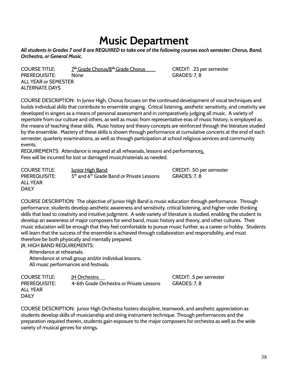### **Music Department**

#### *All students in Grades 7 and 8 are REQUIRED to take one of the following courses each semester: Chorus, Band, Orchestra, or General Music.*

COURSE TITLE:  $Z^{\text{th}}$  Grade Chorus/8<sup>th</sup> Grade Chorus CREDIT: .25 per semester PREREQUISITE: None CRADES: 7, 8 ALL YEAR or SEMESTER ALTERNATE DAYS

COURSE DESCRIPTION: In Junior High, Chorus focuses on the continued development of vocal techniques and builds individual skills that contribute to ensemble singing. Critical listening, aesthetic sensitivity, and creativity are developed in singers as a means of personal assessment and in comparatively judging all music. A variety of repertoire from our culture and others, as well as music from representative eras of music history, is employed as the means of teaching these skills. Music history and theory concepts are reinforced through the literature studied by the ensemble. Mastery of these skills is shown through performance at cumulative concerts at the end of each semester, quarterly examinations, as well as through participation at school religious services and community events.

REQUIREMENTS: Attendance is required at all rehearsals, lessons and performances. Fees will be incurred for lost or damaged music/materials as needed.

COURSE TITLE: Junior High Band CREDIT: .50 per semester PREREQUISITE:  $5<sup>th</sup>$  and 6<sup>th</sup> Grade Band or Private Lessons GRADES: 7, 8 ALL YEAR DAILY

COURSE DESCRIPTION: The objective of Junior High Band is music education through performance. Through performance, students develop aesthetic awareness and sensitivity, critical listening, and higher-order thinking skills that lead to creativity and intuitive judgment. A wide variety of literature is studied, enabling the student to develop an awareness of major composers for wind band, music history and theory, and other cultures. Their music education will be enough that they feel comfortable to pursue music further, as a career or hobby. Students will learn that the success of the ensemble is achieved through collaboration and responsibility, and must therefore be both physically and mentally prepared.

JR. HIGH BAND REQUIREMENTS:

Attendance at rehearsals. Attendance at small group and/or individual lessons. All music performances and festivals.

COURSE TITLE: JH Orchestra Letter CREDIT: .5 per semester PREREQUISITE: 4-6th Grade Orchestra or Private Lessons GRADES: 7, 8 ALL YEAR DAILY

COURSE DESCRIPTION: Junior High Orchestra fosters discipline, teamwork, and aesthetic appreciation as students develop skills of musicianship and string instrument technique. Through performances and the preparation required therein, students gain exposure to the major composers for orchestra as well as the wide variety of musical genres for strings.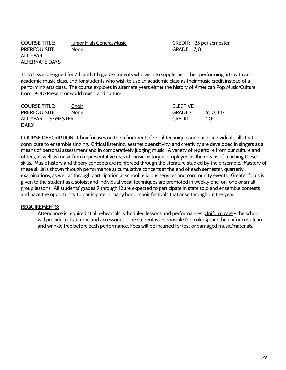| <b>COURSE TITLE:</b> | Junior High General Music |
|----------------------|---------------------------|
| <b>PREREQUISITE:</b> | None                      |
| ALL YEAR             |                           |
| ALTERNATE DAYS       |                           |

CREDIT: .25 per semester **GRADE: 7, 8** 

This class is designed for 7th and 8th grade students who wish to supplement their performing arts with an academic music class, and for students who wish to use an academic class as their music credit instead of a performing arts class. The course explores in alternate years either the history of American Pop Music/Culture from 1900-Present or world music and culture.

| <b>COURSE TITLE:</b> | <u>Choir</u> | <b>ELECTIVE</b> |            |
|----------------------|--------------|-----------------|------------|
| <b>PREREQUISITE:</b> | <b>None</b>  | <b>GRADES:</b>  | 9.10.11.12 |
| ALL YEAR or SEMESTER |              | <b>CREDIT:</b>  | 1.OO.      |
| <b>DAILY</b>         |              |                 |            |

COURSE DESCRIPTION: Choir focuses on the refinement of vocal technique and builds individual skills that contribute to ensemble singing. Critical listening, aesthetic sensitivity, and creativity are developed in singers as a means of personal assessment and in comparatively judging music. A variety of repertoire from our culture and others, as well as music from representative eras of music history, is employed as the means of teaching these skills. Music history and theory concepts are reinforced through the literature studied by the ensemble. Mastery of these skills is shown through performance at cumulative concerts at the end of each semester, quarterly examinations, as well as through participation at school religious services and community events. Greater focus is given to the student as a soloist and individual vocal techniques are promoted in weekly one-on-one or small group lessons. All students' grades 9 through 12 are expected to participate in state solo and ensemble contests and have the opportunity to participate in many honor choir festivals that arise throughout the year.

#### REQUIREMENTS:

Attendance is required at all rehearsals, scheduled lessons and performances. Uniform care - the school will provide a clean robe and accessories. The student is responsible for making sure the uniform is clean and wrinkle free before each performance. Fees will be incurred for lost or damaged music/materials.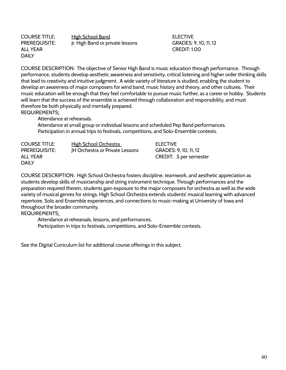DAILY

COURSE TITLE: High School Band ELECTIVE PREREQUISITE: Jr. High Band or private lessons GRADES: 9, 10, 11, 12 ALL YEAR CREDIT: 1.00

COURSE DESCRIPTION: The objective of Senior High Band is music education through performance. Through performance, students develop aesthetic awareness and sensitivity, critical listening and higher order thinking skills that lead to creativity and intuitive judgment. A wide variety of literature is studied, enabling the student to develop an awareness of major composers for wind band, music history and theory, and other cultures. Their music education will be enough that they feel comfortable to pursue music further, as a career or hobby. Students will learn that the success of the ensemble is achieved through collaboration and responsibility, and must therefore be both physically and mentally prepared. REQUIREMENTS:

Attendance at rehearsals.

Attendance at small group or individual lessons and scheduled Pep Band performances. Participation in annual trips to festivals, competitions, and Solo-Ensemble contests.

| <b>COURSE TITLE:</b> | <b>High School Orchestra</b>           | <b>ELECTIVE</b>         |
|----------------------|----------------------------------------|-------------------------|
| <b>PREREQUISITE:</b> | <b>IH Orchestra or Private Lessons</b> | GRADES: 9, 10, 11, 12   |
| ALL YEAR             |                                        | CREDIT: .5 per semester |
| <b>DAILY</b>         |                                        |                         |

COURSE DESCRIPTION: High School Orchestra fosters discipline, teamwork, and aesthetic appreciation as students develop skills of musicianship and string instrument technique. Through performances and the preparation required therein, students gain exposure to the major composers for orchestra as well as the wide variety of musical genres for strings. High School Orchestra extends students' musical learning with advanced repertoire, Solo and Ensemble experiences, and connections to music-making at University of Iowa and throughout the broader community.

REQUIREMENTS:

Attendance at rehearsals, lessons, and performances. Participation in trips to festivals, competitions, and Solo-Ensemble contests.

See the Digital Curriculum list for additional course offerings in this subject.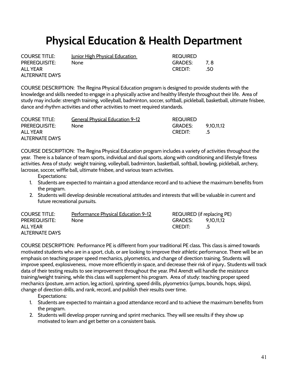### **Physical Education & Health Department**

ALTERNATE DAYS

COURSE TITLE: Junior High Physical Education REQUIRED PREREQUISITE: None GRADES: 7, 8 ALL YEAR GREDIT: 50

COURSE DESCRIPTION: The Regina Physical Education program is designed to provide students with the knowledge and skills needed to engage in a physically active and healthy lifestyle throughout their life. Area of study may include: strength training, volleyball, badminton, soccer, softball, pickleball, basketball, ultimate frisbee, dance and rhythm activities and other activities to meet required standards.

| <b>COURSE TITLE:</b>  | <u>General Physical Education 9-12</u> | <b>REQUIRED</b> |            |
|-----------------------|----------------------------------------|-----------------|------------|
| <b>PREREQUISITE:</b>  | None                                   | GRADES:         | 9.10.11.12 |
| ALL YEAR              |                                        | <b>CREDIT:</b>  |            |
| <b>ALTERNATE DAYS</b> |                                        |                 |            |

COURSE DESCRIPTION: The Regina Physical Education program includes a variety of activities throughout the year. There is a balance of team sports, individual and dual sports, along with conditioning and lifestyle fitness activities. Area of study: weight training, volleyball, badminton, basketball, softball, bowling, pickleball, archery, lacrosse, soccer, wiffle ball, ultimate frisbee, and various team activities.

- Expectations:
- 1. Students are expected to maintain a good attendance record and to achieve the maximum benefits from the program.
- 2. Students will develop desirable recreational attitudes and interests that will be valuable in current and future recreational pursuits.

| <b>COURSE TITLE:</b>  | <b>Performance Physical Education 9-12</b> | REQUIRED (if replacing PE) |            |
|-----------------------|--------------------------------------------|----------------------------|------------|
| <b>PREREQUISITE:</b>  | <b>None</b>                                | <b>GRADES:</b>             | 9.10.11.12 |
| ALL YEAR              |                                            | <b>CREDIT:</b>             |            |
| <b>ALTERNATE DAYS</b> |                                            |                            |            |

COURSE DESCRIPTION: Performance PE is different from your traditional PE class. This class is aimed towards motivated students who are in a sport, club, or are looking to improve their athletic performance. There will be an emphasis on teaching proper speed mechanics, plyometrics, and change of direction training. Students will improve speed, explosiveness, move more efficiently in space, and decrease their risk of injury.. Students will track data of their testing results to see improvement throughout the year. Phil Arendt will handle the resistance training/weight training, while this class will supplement his program. Area of study: teaching proper speed mechanics (posture, arm action, leg action), sprinting, speed drills, plyometrics (jumps, bounds, hops, skips), change of direction drills, and rank, record, and publish their results over time.

Expectations:

- 1. Students are expected to maintain a good attendance record and to achieve the maximum benefits from the program.
- 2. Students will develop proper running and sprint mechanics. They will see results if they show up motivated to learn and get better on a consistent basis.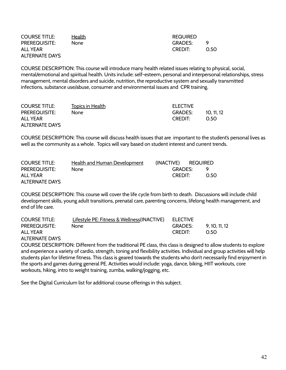| <b>COURSE TITLE:</b>  | <b>Health</b> | REQUIRED       |          |
|-----------------------|---------------|----------------|----------|
| <b>PREREQUISITE:</b>  | None.         | <b>GRADES:</b> | <b>Q</b> |
| ALL YEAR              |               | CREDIT:        | 0.50     |
| <b>ALTERNATE DAYS</b> |               |                |          |

COURSE DESCRIPTION: This course will introduce many health related issues relating to physical, social, mental/emotional and spiritual health. Units include: self-esteem, personal and interpersonal relationships, stress management, mental disorders and suicide, nutrition, the reproductive system and sexually transmitted infections, substance use/abuse, consumer and environmental issues and CPR training.

| <b>COURSE TITLE:</b>  | Topics in Health | <b>ELECTIVE</b> |          |
|-----------------------|------------------|-----------------|----------|
| <b>PREREQUISITE:</b>  | None.            | <b>GRADES:</b>  | 10.11.12 |
| ALL YEAR              |                  | CREDIT:         | O 50.    |
| <b>ALTERNATE DAYS</b> |                  |                 |          |

COURSE DESCRIPTION: This course will discuss health issues that are important to the student's personal lives as well as the community as a whole. Topics will vary based on student interest and current trends.

| <b>COURSE TITLE:</b>  | <b>Health and Human Development</b> | (INACTIVE) REQUIRED |          |
|-----------------------|-------------------------------------|---------------------|----------|
| <b>PREREQUISITE:</b>  | None.                               | GRADES:             | <b>Q</b> |
| ALL YEAR              |                                     | <b>CREDIT:</b>      | O.50     |
| <b>ALTERNATE DAYS</b> |                                     |                     |          |

COURSE DESCRIPTION: This course will cover the life cycle from birth to death. Discussions will include child development skills, young adult transitions, prenatal care, parenting concerns, lifelong health management, and end of life care.

| <b>COURSE TITLE:</b> | Lifestyle PE: Fitness & Wellness(INACTIVE) ELECTIVE |         |            |
|----------------------|-----------------------------------------------------|---------|------------|
| <b>PREREQUISITE:</b> | None.                                               | GRADES: | 9.10.11.12 |
| <b>ALL YEAR</b>      |                                                     | CREDIT: | O 50.      |
|                      |                                                     |         |            |

ALTERNATE DAYS

COURSE DESCRIPTION: Different from the traditional PE class, this class is designed to allow students to explore and experience a variety of cardio, strength, toning and flexibility activities. Individual and group activities will help students plan for lifetime fitness. This class is geared towards the students who don't necessarily find enjoyment in the sports and games during general PE. Activities would include: yoga, dance, biking, HIIT workouts, core workouts, hiking, intro to weight training, zumba, walking/jogging, etc.

See the Digital Curriculum list for additional course offerings in this subject.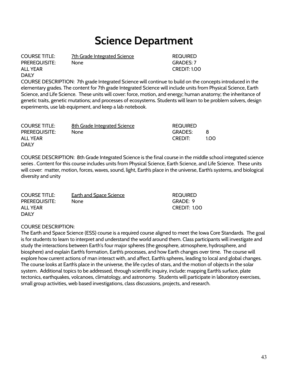### **Science Department**

ALL YEAR CREDIT: 1.00 DAILY

COURSE TITLE: 7th Grade Integrated Science REQUIRED

PREREQUISITE: None GRADES: 7

COURSE DESCRIPTION: 7th grade Integrated Science will continue to build on the concepts introduced in the elementary grades. The content for 7th grade Integrated Science will include units from Physical Science, Earth Science, and Life Science. These units will cover: force, motion, and energy; human anatomy; the inheritance of genetic traits, genetic mutations; and processes of ecosystems. Students will learn to be problem solvers, design experiments, use lab equipment, and keep a lab notebook.

| <b>COURSE TITLE:</b> | 8th Grade Integrated Science | <b>REQUIRED</b> |      |
|----------------------|------------------------------|-----------------|------|
| <b>PREREQUISITE:</b> | None                         | <b>GRADES:</b>  | -8   |
| ALL YEAR             |                              | <b>CREDIT:</b>  | 1.00 |
| <b>DAILY</b>         |                              |                 |      |

COURSE DESCRIPTION: 8th Grade Integrated Science is the final course in the middle school integrated science series . Content for this course includes units from Physical Science, Earth Science, and Life Science. These units will cover: matter, motion, forces, waves, sound, light, Earth's place in the universe, Earth's systems, and biological diversity and unity

| <b>COURSE TITLE:</b> | <b>Earth and Space Science</b> | <b>REQUIRED</b>     |
|----------------------|--------------------------------|---------------------|
| <b>PREREQUISITE:</b> | None.                          | GRADE: 9            |
| ALL YEAR             |                                | <b>CREDIT: 1.00</b> |
| <b>DAILY</b>         |                                |                     |

#### COURSE DESCRIPTION:

The Earth and Space Science (ESS) course is a required course aligned to meet the Iowa Core Standards. The goal is for students to learn to interpret and understand the world around them. Class participants will investigate and study the interactions between Earth's four major spheres (the geosphere, atmosphere, hydrosphere, and biosphere) and explain Earth's formation, Earth's processes, and how Earth changes over time. The course will explore how current actions of man interact with, and affect, Earth's spheres, leading to local and global changes. The course looks at Earth's place in the universe, the life cycles of stars, and the motion of objects in the solar system. Additional topics to be addressed, through scientific inquiry, include: mapping Earth's surface, plate tectonics, earthquakes, volcanoes, climatology, and astronomy. Students will participate in laboratory exercises, small group activities, web based investigations, class discussions, projects, and research.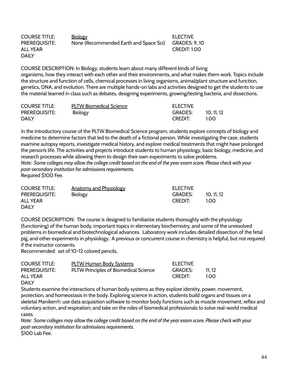| <b>COURSE TITLE:</b> | Biology                                | <b>ELECTIVE</b>      |
|----------------------|----------------------------------------|----------------------|
| <b>PREREQUISITE:</b> | None (Recommended Earth and Space Sci) | <b>GRADES: 9, 10</b> |
| ALL YEAR             |                                        | CREDIT: 1.00         |
| <b>DAILY</b>         |                                        |                      |

COURSE DESCRIPTION: In Biology, students learn about many different kinds of living organisms, how they interact with each other and their environments, and what makes them work. Topics include the structure and function of cells, chemical processes in living organisms, animal/plant structure and function, genetics, DNA, and evolution. There are multiple hands-on labs and activities designed to get the students to use the material learned in class such as debates, designing experiments, growing/testing bacteria, and dissections.

| <b>COURSE TITLE:</b> | <b>PLTW Biomedical Science</b> | <b>ELECTIVE</b> |          |
|----------------------|--------------------------------|-----------------|----------|
| <b>PREREQUISITE:</b> | Biology                        | <b>GRADES:</b>  | 10.11.12 |
| <b>DAILY</b>         |                                | <b>CREDIT:</b>  | 1.00     |

In the introductory course of the PLTW Biomedical Science program, students explore concepts of biology and medicine to determine factors that led to the death of a fictional person. While investigating the case, students examine autopsy reports, investigate medical history, and explore medical treatments that might have prolonged the person's life. The activities and projects introduce students to human physiology, basic biology, medicine, and research processes while allowing them to design their own experiments to solve problems. *Note: Some colleges may allow the college credit based on the end of the year exam score. Please check with your post-secondary institution for admissions requirements.* Required \$100 Fee.

| <b>COURSE TITLE:</b> | <b>Anatomy and Physiology</b> | ELECTIVE       |          |
|----------------------|-------------------------------|----------------|----------|
| <b>PREREQUISITE:</b> | <b>Biology</b>                | <b>GRADES:</b> | 10.11.12 |
| ALL YEAR             |                               | <b>CREDIT:</b> | 100      |
| <b>DAIIY</b>         |                               |                |          |

COURSE DESCRIPTION: The course is designed to familiarize students thoroughly with the physiology (functioning) of the human body, important topics in elementary biochemistry, and some of the unresolved problems in biomedical and biotechnological advances. Laboratory work includes detailed dissection of the fetal pig, and other experiments in physiology. A previous or concurrent course in chemistry is helpful, but not required if the instructor consents.

Recommended: set of 10-12 colored pencils.

| <b>COURSE TITLE:</b> | <b>PLTW Human Body Systems</b>        | <b>ELECTIVE</b> |       |
|----------------------|---------------------------------------|-----------------|-------|
| <b>PREREQUISITE:</b> | PLTW Principles of Biomedical Science | <b>GRADES:</b>  | 11.17 |
| ALL YEAR             |                                       | <b>CREDIT:</b>  | 1.OO. |
|                      |                                       |                 |       |

DAILY

Students examine the interactions of human body systems as they explore identity, power, movement, protection, and homeostasis in the body. Exploring science in action, students build organs and tissues on a skeletal Maniken®; use data acquisition software to monitor body functions such as muscle movement, reflex and voluntary action, and respiration; and take on the roles of biomedical professionals to solve real-world medical cases.

*Note: Some colleges may allow the college credit based on the end of the year exam score. Please check with your post-secondary institution for admissions requirements.* \$100 Lab Fee.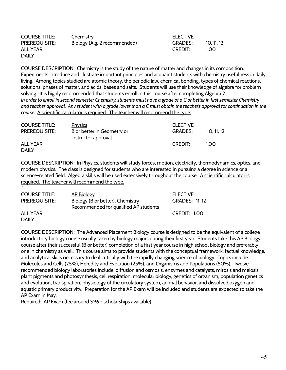| <b>COURSE TITLE:</b> | <u>Chemistry</u>             | <b>ELECTIVE</b> |          |
|----------------------|------------------------------|-----------------|----------|
| <b>PREREQUISITE:</b> | Biology (Alg. 2 recommended) | <b>GRADES:</b>  | 10.11.12 |
| ALL YEAR             |                              | <b>CREDIT:</b>  | 1.00     |
| <b>DAILY</b>         |                              |                 |          |

COURSE DESCRIPTION: Chemistry is the study of the nature of matter and changes in its composition. Experiments introduce and illustrate important principles and acquaint students with chemistry usefulness in daily living. Among topics studied are atomic theory, the periodic law, chemical bonding, types of chemical reactions, solutions, phases of matter, and acids, bases and salts. Students will use their knowledge of algebra for problem solving. It is highly recommended that students enroll in this course after completing Algebra 2. *In order to enroll in second semester Chemistry, students must have a grade of a C or better in first semester Chemistry and teacher approval. Any student with a grade lower than a C must obtain the teacher's approval for continuation in the course.* A scientific calculator is required. The teacher will recommend the type.

| <b>COURSE TITLE:</b> | <b>Physics</b>                                    | <b>ELECTIVE</b> |            |
|----------------------|---------------------------------------------------|-----------------|------------|
| <b>PREREQUISITE:</b> | B or better in Geometry or<br>instructor approval | <b>GRADES:</b>  | 10, 11, 12 |
| <b>ALL YEAR</b>      |                                                   | <b>CREDIT:</b>  | 1.00       |
| <b>DAILY</b>         |                                                   |                 |            |

COURSE DESCRIPTION: In Physics, students will study forces, motion, electricity, thermodynamics, optics, and modern physics. The class is designed for students who are interested in pursuing a degree in science or a science-related field. Algebra skills will be used extensively throughout the course. A scientific calculator is required. The teacher will recommend the type.

| <b>COURSE TITLE:</b> | <b>AP Biology</b>                     | <b>ELECTIVE</b>       |
|----------------------|---------------------------------------|-----------------------|
| <b>PREREQUISITE:</b> | Biology (B or better), Chemistry      | <b>GRADES: 11, 12</b> |
|                      | Recommended for qualified AP students |                       |
| <b>ALL YEAR</b>      |                                       | CREDIT: 1.00          |
| <b>DAILY</b>         |                                       |                       |

COURSE DESCRIPTION: The Advanced Placement Biology course is designed to be the equivalent of a college introductory biology course usually taken by biology majors during their first year. Students take this AP Biology course after their successful (B or better) completion of a first year course in high school biology and preferably one in chemistry as well. This course aims to provide students with the conceptual framework, factual knowledge, and analytical skills necessary to deal critically with the rapidly changing science of biology. Topics include: Molecules and Cells (25%), Heredity and Evolution (25%), and Organisms and Populations (50%). Twelve recommended biology laboratories include: diffusion and osmosis, enzymes and catalysts, mitosis and meiosis, plant pigments and photosynthesis, cell respiration, molecular biology, genetics of organism, population genetics and evolution, transpiration, physiology of the circulatory system, animal behavior, and dissolved oxygen and aquatic primary productivity. Preparation for the AP Exam will be included and students are expected to take the AP Exam in May.

Required: AP Exam (fee around \$96 - scholarships available)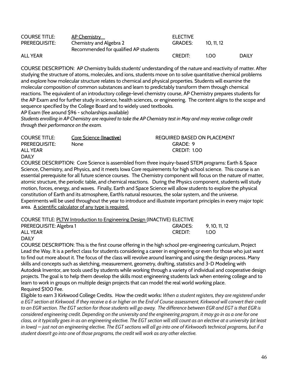| <b>COURSE TITLE:</b> | <u>AP Chemistry</u>                   | <b>ELECTIVE</b> |          |              |
|----------------------|---------------------------------------|-----------------|----------|--------------|
| <b>PREREQUISITE:</b> | Chemistry and Algebra 2               | <b>GRADES:</b>  | 10.11.12 |              |
|                      | Recommended for qualified AP students |                 |          |              |
| <b>ALL YEAR</b>      |                                       | <b>CREDIT:</b>  | 1.00     | <b>DAILY</b> |
|                      |                                       |                 |          |              |

COURSE DESCRIPTION: AP Chemistry builds students' understanding of the nature and reactivity of matter. After studying the structure of atoms, molecules, and ions, students move on to solve quantitative chemical problems and explore how molecular structure relates to chemical and physical properties. Students will examine the molecular composition of common substances and learn to predictably transform them through chemical reactions. The equivalent of an introductory college-level chemistry course, AP Chemistry prepares students for the AP Exam and for further study in science, health sciences, or engineering. The content aligns to the scope and sequence specified by the College Board and to widely used textbooks.

AP Exam (fee around \$96 - scholarships available)

*Students enrolling in AP Chemistry are required to take the AP Chemistry test in May and may receive college credit through their performance on the exam.*

| <b>COURSE TITLE:</b> | Core Science (Inactive) | REQUIRED BASED ON PLACEMENT |
|----------------------|-------------------------|-----------------------------|
| <b>PREREQUISITE:</b> | None                    | GRADE: 9                    |
| ALL YEAR             |                         | CREDIT: 1.00                |
| <b>DAILY</b>         |                         |                             |

COURSE DESCRIPTION: Core Science is assembled from three inquiry-based STEM programs: Earth & Space Science, Chemistry, and Physics, and it meets Iowa Core requirements for high school science. This course is an essential prerequisite for all future science courses. The Chemistry component will focus on the nature of matter, atomic structure, the periodic table, and chemical reactions. During the Physics component, students will study motion, forces, energy, and waves. Finally, Earth and Space Science will allow students to explore the physical constitution of Earth and its atmosphere, Earth's natural resources, the solar system, and the universe. Experiments will be used throughout the year to introduce and illustrate important principles in every major topic area. A scientific calculator of any type is required.

| COURSE TITLE: PLTW Introduction to Engineering Design (INACTIVE) ELECTIVE |                |               |
|---------------------------------------------------------------------------|----------------|---------------|
| PREREQUISITE: Algebra 1                                                   | GRADES:        | 9, 10, 11, 12 |
| ALL YEAR                                                                  | <b>CREDIT:</b> | 1 O O         |

#### DAILY

COURSE DESCRIPTION: This is the first course offering in the high school pre-engineering curriculum, Project Lead the Way. It is a perfect class for students considering a career in engineering or even for those who just want to find out more about it. The focus of the class will revolve around learning and using the design process. Many skills and concepts such as sketching, measurement, geometry, drafting, statistics and 3-D Modeling with Autodesk Inventor, are tools used by students while working through a variety of individual and cooperative design projects. The goal is to help them develop the skills most engineering students lack when entering college and to learn to work in groups on multiple design projects that can model the real world working place. Required \$100 Fee.

Eligible to earn 3 Kirkwood College Credits. How the credit works: *When a student registers, they are registered under a EGT section at Kirkwood. If they receive a 6 or higher on the End of Course assessment, Kirkwood will convert their credit to an EGR section. The EGT section for those students will go away. The difference between EGR and EGT is that EGR is considered engineering credit. Depending on the university and the engineering program, it may go in as a one for one class, or it typically goes in as an engineering elective. The EGT section will still count as an elective at a university (at least in Iowa) – just not an engineering elective. The EGT sections will all go into one of Kirkwood's technical programs, but if a student doesn't go into one of those programs, the credit will work as any other elective.*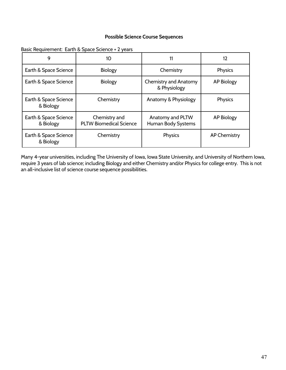#### **Possible Science Course Sequences**

Basic Requirement: Earth & Space Science + 2 years

| 9                                  | 10                                              | 11                                           | 12                  |
|------------------------------------|-------------------------------------------------|----------------------------------------------|---------------------|
| Earth & Space Science              | <b>Biology</b>                                  | Chemistry                                    | Physics             |
| Earth & Space Science              | <b>Biology</b>                                  | <b>Chemistry and Anatomy</b><br>& Physiology | <b>AP Biology</b>   |
| Earth & Space Science<br>& Biology | Chemistry                                       | Anatomy & Physiology                         | Physics             |
| Earth & Space Science<br>& Biology | Chemistry and<br><b>PLTW Biomedical Science</b> | Anatomy and PLTW<br>Human Body Systems       | <b>AP Biology</b>   |
| Earth & Space Science<br>& Biology | Chemistry                                       | Physics                                      | <b>AP Chemistry</b> |

Many 4-year universities, including The University of Iowa, Iowa State University, and University of Northern Iowa, require 3 years of lab science; including Biology and either Chemistry and/or Physics for college entry. This is not an all-inclusive list of science course sequence possibilities.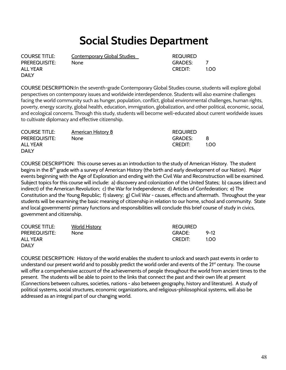### **Social Studies Department**

ALL YEAR THE CREDIT: THE CREDIT: THE CREDIT: THE CREDIT: THE CREDIT: THE CREDIT: THE CREDIT: THE CREDIT: THE CREDIT DAILY

COURSE TITLE: Contemporary Global Studies COURSE TITLE:

PREREQUISITE: None GRADES: 7

COURSE DESCRIPTION:In the seventh-grade Contemporary Global Studies course, students will explore global perspectives on contemporary issues and worldwide interdependence. Students will also examine challenges facing the world community such as hunger, population, conflict, global environmental challenges, human rights, poverty, energy scarcity, global health, education, immigration, globalization, and other political, economic, social, and ecological concerns. Through this study, students will become well-educated about current worldwide issues to cultivate diplomacy and effective citizenship.

| <b>COURSE TITLE:</b> | <u>American History 8</u> | <b>REQUIRED</b> |      |
|----------------------|---------------------------|-----------------|------|
| <b>PREREQUISITE:</b> | None                      | <b>GRADES:</b>  |      |
| ALL YEAR             |                           | <b>CREDIT:</b>  | 1.00 |
| <b>DAILY</b>         |                           |                 |      |

COURSE DESCRIPTION: This course serves as an introduction to the study of American History. The student begins in the 8<sup>th</sup> grade with a survey of American History (the birth and early development of our Nation). Major events beginning with the Age of Exploration and ending with the Civil War and Reconstruction will be examined. Subject topics for this course will include: a) discovery and colonization of the United States; b) causes (direct and indirect) of the American Revolution; c) the War for Independence; d) Articles of Confederation; e) The Constitution and the Young Republic; f) slavery; g) Civil War - causes, effects and aftermath. Throughout the year students will be examining the basic meaning of citizenship in relation to our home, school and community. State and local governments' primary functions and responsibilities will conclude this brief course of study in civics, government and citizenship.

| <b>COURSE TITLE:</b> | <b>World History</b> | <b>REQUIRED</b> |          |
|----------------------|----------------------|-----------------|----------|
| <b>PREREQUISITE:</b> | None                 | GRADE:          | $9 - 12$ |
| ALL YEAR             |                      | <b>CREDIT:</b>  | 1.00     |
| <b>DAILY</b>         |                      |                 |          |

COURSE DESCRIPTION: History of the world enables the student to unlock and search past events in order to understand our present world and to possibly predict the world order and events of the 21<sup>st</sup> century. The course will offer a comprehensive account of the achievements of people throughout the world from ancient times to the present. The students will be able to point to the links that connect the past and their own life at present (Connections between cultures, societies, nations - also between geography, history and literature). A study of political systems, social structures, economic organizations, and religious-philosophical systems, will also be addressed as an integral part of our changing world.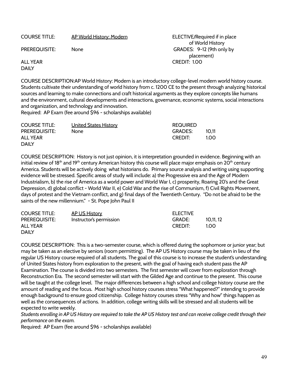COURSE TITLE: AP World History: Modern **ELECTIVE/Required if in place** 

of World History PREREQUISITE: None None GRADES: 9-12 (9th only by placement) ALL YEAR CREDIT: 1.00

DAILY

COURSE DESCRIPTION:AP World History: Modern is an introductory college-level modern world history course. Students cultivate their understanding of world history from c. 1200 CE to the present through analyzing historical sources and learning to make connections and craft historical arguments as they explore concepts like humans and the environment, cultural developments and interactions, governance, economic systems, social interactions and organization, and technology and innovation.

Required: AP Exam (fee around \$96 - scholarships available)

| <b>COURSE TITLE:</b> | <b>United States History</b> | <b>REQUIRED</b> |       |
|----------------------|------------------------------|-----------------|-------|
| <b>PREREQUISITE:</b> | None                         | <b>GRADES:</b>  | 10.11 |
| ALL YEAR             |                              | CREDIT:         | 1.00  |
| <b>DAILY</b>         |                              |                 |       |

COURSE DESCRIPTION: History is not just opinion, it is interpretation grounded in evidence. Beginning with an initial review of 18<sup>th</sup> and 19<sup>th</sup> century American history this course will place major emphasis on 20<sup>th</sup> century America. Students will be actively doing what historians do. Primary source analysis and writing using supporting evidence will be stressed. Specific areas of study will include: a) the Progressive era and the Age of Modern Industrialism, b) the rise of America as a world power and World War I, c) prosperity, Roaring 20's and the Great Depression, d) global conflict - World War II, e) Cold War and the rise of Communism, f) Civil Rights Movement, days of protest and the Vietnam conflict, and g) final days of the Twentieth Century. "Do not be afraid to be the saints of the new millennium." - St. Pope John Paul II

| <b>COURSE TITLE:</b> | <b>AP US History</b>    | <b>ELECTIVE</b> |           |
|----------------------|-------------------------|-----------------|-----------|
| <b>PREREQUISITE:</b> | Instructor's permission | GRADE:          | 10,11, 12 |
| ALL YEAR             |                         | <b>CREDIT:</b>  | 1.00.     |
| <b>DAILY</b>         |                         |                 |           |

COURSE DESCRIPTION: This is a two-semester course, which is offered during the sophomore or junior year; but may be taken as an elective by seniors (room permitting). The AP US History course may be taken in lieu of the regular US History course required of all students. The goal of this course is to increase the student's understanding of United States history from exploration to the present, with the goal of having each student pass the AP Examination. The course is divided into two semesters. The first semester will cover from exploration through Reconstruction Era. The second semester will start with the Gilded Age and continue to the present. This course will be taught at the college level. The major differences between a high school and college history course are the amount of reading and the focus. Most high school history courses stress "What happened?" intending to provide enough background to ensure good citizenship. College history courses stress "Why and how" things happen as well as the consequences of actions. In addition, college writing skills will be stressed and all students will be expected to write weekly.

*Students enrolling in AP US History are required to take the AP US History test and can receive college credit through their performance on the exam.*

Required: AP Exam (fee around \$96 - scholarships available)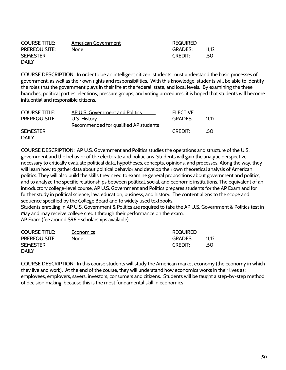| <b>COURSE TITLE:</b> | American Government | <b>REQUIRED</b> |       |
|----------------------|---------------------|-----------------|-------|
| <b>PREREQUISITE:</b> | None                | <b>GRADES:</b>  | 11.12 |
| <b>SEMESTER</b>      |                     | <b>CREDIT:</b>  | .50   |
| <b>DAILY</b>         |                     |                 |       |

COURSE DESCRIPTION: In order to be an intelligent citizen, students must understand the basic processes of government, as well as their own rights and responsibilities. With this knowledge, students will be able to identify the roles that the government plays in their life at the federal, state, and local levels. By examining the three branches, political parties, elections, pressure groups, and voting procedures, it is hoped that students will become influential and responsible citizens.

| <b>COURSE TITLE:</b> | AP U.S. Government and Politics       | <b>ELECTIVE</b> |       |
|----------------------|---------------------------------------|-----------------|-------|
| <b>PREREQUISITE:</b> | U.S. History                          | <b>GRADES:</b>  | 11.12 |
|                      | Recommended for qualified AP students |                 |       |
| <b>SEMESTER</b>      |                                       | <b>CREDIT:</b>  | .50   |
| DAILY                |                                       |                 |       |

COURSE DESCRIPTION: AP U.S. Government and Politics studies the operations and structure of the U.S. government and the behavior of the electorate and politicians. Students will gain the analytic perspective necessary to critically evaluate political data, hypotheses, concepts, opinions, and processes. Along the way, they will learn how to gather data about political behavior and develop their own theoretical analysis of American politics. They will also build the skills they need to examine general propositions about government and politics, and to analyze the specific relationships between political, social, and economic institutions. The equivalent of an introductory college-level course, AP U.S. Government and Politics prepares students for the AP Exam and for further study in political science, law, education, business, and history. The content aligns to the scope and sequence specified by the College Board and to widely used textbooks.

Students enrolling in AP U.S. Government & Politics are required to take the AP U.S. Government & Politics test in May and may receive college credit through their performance on the exam.

AP Exam (fee around \$96 - scholarships available)

| <b>COURSE TITLE:</b> | Economics | <b>REQUIRED</b> |        |
|----------------------|-----------|-----------------|--------|
| <b>PREREQUISITE:</b> | None      | <b>GRADES:</b>  | -11.12 |
| <b>SEMESTER</b>      |           | <b>CREDIT:</b>  | .50    |
| <b>DAILY</b>         |           |                 |        |

COURSE DESCRIPTION: In this course students will study the American market economy (the economy in which they live and work). At the end of the course, they will understand how economics works in their lives as: employees, employers, savers, investors, consumers and citizens. Students will be taught a step-by-step method of decision making, because this is the most fundamental skill in economics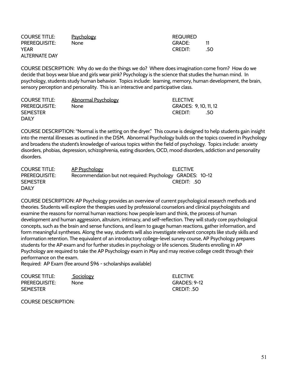| <b>COURSE TITLE:</b> | <b>Psychology</b> | <b>REQUIRED</b> |     |
|----------------------|-------------------|-----------------|-----|
| <b>PREREQUISITE:</b> | None.             | GRADE:          |     |
| YEAR                 |                   | <b>CREDIT:</b>  | .50 |
| <b>ALTERNATE DAY</b> |                   |                 |     |

COURSE DESCRIPTION: Why do we do the things we do? Where does imagination come from? How do we decide that boys wear blue and girls wear pink? Psychology is the science that studies the human mind. In psychology, students study human behavior. Topics include: learning, memory, human development, the brain, sensory perception and personality. This is an interactive and participative class.

| <b>COURSE TITLE:</b> | <b>Abnormal Psychology</b> | <b>ELECTIVE</b>       |
|----------------------|----------------------------|-----------------------|
| <b>PREREQUISITE:</b> | None.                      | GRADES: 9, 10, 11, 12 |
| <b>SEMESTER</b>      |                            | <b>CREDIT:</b><br>.50 |
| <b>DAILY</b>         |                            |                       |

COURSE DESCRIPTION: "Normal is the setting on the dryer." This course is designed to help students gain insight into the mental illnesses as outlined in the DSM. Abnormal Psychology builds on the topics covered in Psychology and broadens the student's knowledge of various topics within the field of psychology. Topics include: anxiety disorders, phobias, depression, schizophrenia, eating disorders, OCD, mood disorders, addiction and personality disorders.

| <b>COURSE TITLE:</b> | AP Psychology | <b>ELECTIVE</b>                                           |
|----------------------|---------------|-----------------------------------------------------------|
| <b>PREREQUISITE:</b> |               | Recommendation but not required: Psychology GRADES: 10-12 |
| <b>SEMESTER</b>      |               | CREDIT: 50                                                |
| <b>DAILY</b>         |               |                                                           |

COURSE DESCRIPTION: AP Psychology provides an overview of current psychological research methods and theories. Students will explore the therapies used by professional counselors and clinical psychologists and examine the reasons for normal human reactions: how people learn and think, the process of human development and human aggression, altruism, intimacy, and self-reflection. They will study core psychological concepts, such as the brain and sense functions, and learn to gauge human reactions, gather information, and form meaningful syntheses. Along the way, students will also investigate relevant concepts like study skills and information retention. The equivalent of an introductory college-level survey course, AP Psychology prepares students for the AP exam and for further studies in psychology or life sciences. Students enrolling in AP Psychology are required to take the AP Psychology exam in May and may receive college credit through their performance on the exam.

Required: AP Exam (fee around \$96 - scholarships available)

| <b>COURSE TITLE:</b> | <b>Sociology</b> | <b>ELECTIVE</b>     |
|----------------------|------------------|---------------------|
| <b>PREREQUISITE:</b> | None.            | <b>GRADES: 9-12</b> |
| <b>SEMESTER</b>      |                  | CREDIT: 50          |

COURSE DESCRIPTION: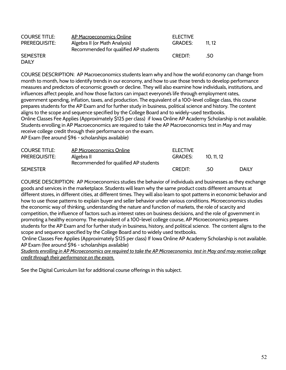| <b>COURSE TITLE:</b> | AP Macroeconomics Online              | <b>ELECTIVE</b> |       |
|----------------------|---------------------------------------|-----------------|-------|
| <b>PREREQUISITE:</b> | Algebra II (or Math Analysis)         | <b>GRADES:</b>  | 11.12 |
|                      | Recommended for qualified AP students |                 |       |
| <b>SEMESTER</b>      |                                       | <b>CREDIT:</b>  | .50   |
| <b>DAILY</b>         |                                       |                 |       |

COURSE DESCRIPTION: AP Macroeconomics students learn why and how the world economy can change from month to month, how to identify trends in our economy, and how to use those trends to develop performance measures and predictors of economic growth or decline. They will also examine how individuals, institutions, and influences affect people, and how those factors can impact everyone's life through employment rates, government spending, inflation, taxes, and production. The equivalent of a 100-level college class, this course prepares students for the AP Exam and for further study in business, political science and history. The content aligns to the scope and sequence specified by the College Board and to widely-used textbooks. Online Classes Fee Applies (Approximately \$125 per class) if Iowa Online AP Academy Scholarship is not available. Students enrolling in AP Macroeconomics are required to take the AP Macroeconomics test in May and may receive college credit through their performance on the exam. AP Exam (fee around \$96 - scholarships available)

| <b>COURSE TITLE:</b> | AP Microeconomics Online              | <b>ELECTIVE</b> |          |              |
|----------------------|---------------------------------------|-----------------|----------|--------------|
| <b>PREREQUISITE:</b> | Algebra II                            | <b>GRADES:</b>  | 10.11.12 |              |
|                      | Recommended for qualified AP students |                 |          |              |
| <b>SEMESTER</b>      |                                       | <b>CREDIT:</b>  | .50      | <b>DAILY</b> |

COURSE DESCRIPTION: AP Microeconomics studies the behavior of individuals and businesses as they exchange goods and services in the marketplace. Students will learn why the same product costs different amounts at different stores, in different cities, at different times. They will also learn to spot patterns in economic behavior and how to use those patterns to explain buyer and seller behavior under various conditions. Microeconomics studies the economic way of thinking, understanding the nature and function of markets, the role of scarcity and competition, the influence of factors such as interest rates on business decisions, and the role of government in promoting a healthy economy. The equivalent of a 100-level college course, AP Microeconomics prepares students for the AP Exam and for further study in business, history, and political science. The content aligns to the scope and sequence specified by the College Board and to widely used textbooks.

Online Classes Fee Applies (Approximately \$125 per class) If Iowa Online AP Academy Scholarship is not available. AP Exam (fee around \$96 - scholarships available)

*Students enrolling in AP Microeconomics are required to take the AP Microeconomics test in May and may receive college credit through their performance on the exam.*

See the Digital Curriculum list for additional course offerings in this subject.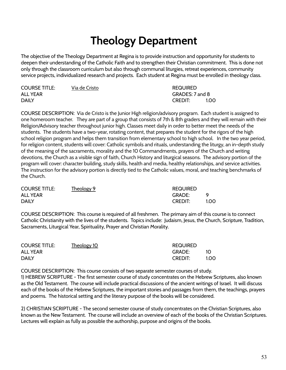## **Theology Department**

The objective of the Theology Department at Regina is to provide instruction and opportunity for students to deepen their understanding of the Catholic Faith and to strengthen their Christian commitment. This is done not only through the classroom curriculum but also through communal liturgies, retreat experiences, community service projects, individualized research and projects. Each student at Regina must be enrolled in theology class.

| <b>COURSE TITLE:</b> | Via de Cristo | <b>REQUIRED</b> |      |
|----------------------|---------------|-----------------|------|
| <b>ALL YEAR</b>      |               | GRADES: 7 and 8 |      |
| <b>DAILY</b>         |               | <b>CREDIT:</b>  | 1.00 |

COURSE DESCRIPTION: Via de Cristo is the Junior High religion/advisory program. Each student is assigned to one homeroom teacher. They are part of a group that consists of 7th & 8th graders and they will remain with their Religion/Advisory teacher throughout junior high. Classes meet daily in order to better meet the needs of the students. The students have a two-year, rotating content, that prepares the student for the rigors of the high school religion program and helps them transition from elementary school to high school. In the two year period, for religion content, students will cover: Catholic symbols and rituals, understanding the liturgy, an in-depth study of the meaning of the sacraments, morality and the 10 Commandments, prayers of the Church and writing devotions, the Church as a visible sign of faith, Church History and liturgical seasons. The advisory portion of the program will cover: character building, study skills, health and media, healthy relationships, and service activities. The instruction for the advisory portion is directly tied to the Catholic values, moral, and teaching benchmarks of the Church.

| <b>COURSE TITLE:</b> | Theology 9 | <b>REQUIRED</b> |      |
|----------------------|------------|-----------------|------|
| <b>ALL YEAR</b>      |            | <b>GRADE:</b>   |      |
| <b>DAILY</b>         |            | <b>CREDIT:</b>  | 1.00 |

COURSE DESCRIPTION: This course is required of all freshmen. The primary aim of this course is to connect Catholic Christianity with the lives of the students. Topics include: Judaism, Jesus, the Church, Scripture, Tradition, Sacraments, Liturgical Year, Spirituality, Prayer and Christian Morality.

| <b>COURSE TITLE:</b> | Theology 10 | <b>REQUIRED</b> |      |
|----------------------|-------------|-----------------|------|
| <b>ALL YEAR</b>      |             | <b>GRADE:</b>   | - 1O |
| <b>DAILY</b>         |             | <b>CREDIT:</b>  | 1.00 |

COURSE DESCRIPTION: This course consists of two separate semester courses of study. 1) HEBREW SCRIPTURE - The first semester course of study concentrates on the Hebrew Scriptures, also known as the Old Testament. The course will include practical discussions of the ancient writings of Israel. It will discuss each of the books of the Hebrew Scriptures, the important stories and passages from them, the teachings, prayers and poems. The historical setting and the literary purpose of the books will be considered.

2) CHRISTIAN SCRIPTURE - The second semester course of study concentrates on the Christian Scriptures, also known as the New Testament. The course will include an overview of each of the books of the Christian Scriptures. Lectures will explain as fully as possible the authorship, purpose and origins of the books.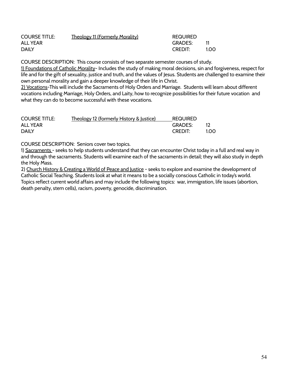| <b>COURSE TITLE:</b> | <b>Theology 11 (Formerly Morality)</b> | <b>REQUIRED</b> |      |
|----------------------|----------------------------------------|-----------------|------|
| ALL YEAR             |                                        | <b>GRADES:</b>  |      |
| <b>DAILY</b>         |                                        | <b>CREDIT:</b>  | 1.00 |

COURSE DESCRIPTION: This course consists of two separate semester courses of study.

1) Foundations of Catholic Morality- Includes the study of making moral decisions, sin and forgiveness, respect for life and for the gift of sexuality, justice and truth, and the values of Jesus. Students are challenged to examine their own personal morality and gain a deeper knowledge of their life in Christ.

2) Vocations-This will include the Sacraments of Holy Orders and Marriage. Students will learn about different vocations including Marriage, Holy Orders, and Laity, how to recognize possibilities for their future vocation and what they can do to become successful with these vocations.

| <b>COURSE TITLE:</b> | Theology 12 (formerly History & Justice) | <b>REQUIRED</b> |      |
|----------------------|------------------------------------------|-----------------|------|
| ALL YEAR             |                                          | <b>GRADES:</b>  |      |
| <b>DAILY</b>         |                                          | <b>CREDIT:</b>  | 1.00 |

COURSE DESCRIPTION: Seniors cover two topics.

1) Sacraments - seeks to help students understand that they can encounter Christ today in a full and real way in and through the sacraments. Students will examine each of the sacraments in detail; they will also study in depth the Holy Mass.

2) Church History & Creating a World of Peace and Justice - seeks to explore and examine the development of Catholic Social Teaching. Students look at what it means to be a socially conscious Catholic in today's world. Topics reflect current world affairs and may include the following topics: war, immigration, life issues (abortion, death penalty, stem cells), racism, poverty, genocide, discrimination.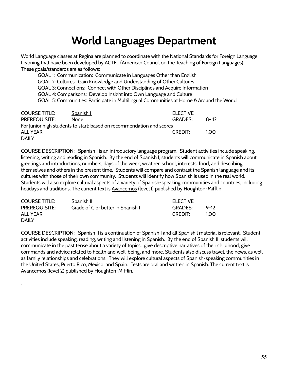### **World Languages Department**

World Language classes at Regina are planned to coordinate with the National Standards for Foreign Language Learning that have been developed by ACTFL (American Council on the Teaching of Foreign Languages). These goals/standards are as follows:

GOAL 1: Communication: Communicate in Languages Other than English GOAL 2: Cultures: Gain Knowledge and Understanding of Other Cultures GOAL 3: Connections: Connect with Other Disciplines and Acquire Information GOAL 4: Comparisons: Develop Insight into Own Language and Culture GOAL 5: Communities: Participate in Multilingual Communities at Home & Around the World

| <b>COURSE TITLE:</b> | <b>Spanish L</b>                                                      | <b>ELECTIVE</b> |          |
|----------------------|-----------------------------------------------------------------------|-----------------|----------|
| PREREQUISITE:        | <b>None</b>                                                           | <b>GRADES:</b>  | - 8 – 12 |
|                      | For Junior high students to start: based on recommendation and scores |                 |          |
| <b>ALL YEAR</b>      |                                                                       | CREDIT:         | 1.00     |
| <b>DAILY</b>         |                                                                       |                 |          |

COURSE DESCRIPTION: Spanish I is an introductory language program. Student activities include speaking, listening, writing and reading in Spanish. By the end of Spanish I, students will communicate in Spanish about greetings and introductions, numbers, days of the week, weather, school, interests, food, and describing themselves and others in the present time. Students will compare and contrast the Spanish language and its cultures with those of their own community. Students will identify how Spanish is used in the real world. Students will also explore cultural aspects of a variety of Spanish-speaking communities and countries, including holidays and traditions. The current text is Avancemos (level I) published by Houghton-Mifflin.

| <b>COURSE TITLE:</b> | <b>Spanish II</b>                 | <b>ELECTIVE</b> |          |
|----------------------|-----------------------------------|-----------------|----------|
| <b>PREREQUISITE:</b> | Grade of C or better in Spanish I | <b>GRADES:</b>  | $9 - 17$ |
| ALL YEAR             |                                   | <b>CREDIT:</b>  | 1.00     |
| <b>DAILY</b>         |                                   |                 |          |

.

COURSE DESCRIPTION: Spanish II is a continuation of Spanish I and all Spanish l material is relevant. Student activities include speaking, reading, writing and listening in Spanish. By the end of Spanish II, students will communicate in the past tense about a variety of topics, give descriptive narratives of their childhood, give commands and advice related to health and well-being, and more. Students also discuss travel, the news, as well as family relationships and celebrations. They will explore cultural aspects of Spanish-speaking communities in the United States, Puerto Rico, Mexico, and Spain. Tests are oral and written in Spanish. The current text is Avancemos (level 2) published by Houghton-Mifflin.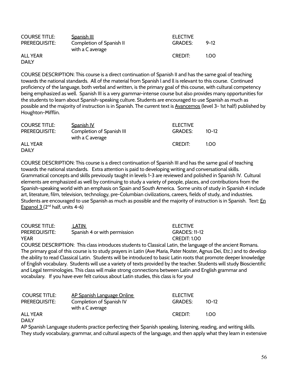| <b>COURSE TITLE:</b> | <b>Spanish III</b>                           | <b>ELECTIVE</b> |          |
|----------------------|----------------------------------------------|-----------------|----------|
| <b>PREREQUISITE:</b> | Completion of Spanish II<br>with a C average | <b>GRADES:</b>  | $9 - 12$ |
| <b>ALL YEAR</b>      |                                              | <b>CREDIT:</b>  | 1.00     |
| <b>DAILY</b>         |                                              |                 |          |

COURSE DESCRIPTION: This course is a direct continuation of Spanish II and has the same goal of teaching towards the national standards. All of the material from Spanish l and ll is relevant to this course. Continued proficiency of the language, both verbal and written, is the primary goal of this course, with cultural competency being emphasized as well. Spanish III is a very grammar-intense course but also provides many opportunities for the students to learn about Spanish-speaking culture. Students are encouraged to use Spanish as much as possible and the majority of instruction is in Spanish. The current text is Avancemos (level 3-1st half) published by Houghton-Mifflin.

| <b>COURSE TITLE:</b> | <b>Spanish IV</b>                             | <b>ELECTIVE</b> |           |
|----------------------|-----------------------------------------------|-----------------|-----------|
| <b>PREREQUISITE:</b> | Completion of Spanish III<br>with a C average | <b>GRADES:</b>  | $10 - 12$ |
| <b>ALL YEAR</b>      |                                               | <b>CREDIT:</b>  | 1.00      |
| <b>DAILY</b>         |                                               |                 |           |

COURSE DESCRIPTION: This course is a direct continuation of Spanish III and has the same goal of teaching towards the national standards. Extra attention is paid to developing writing and conversational skills. Grammatical concepts and skills previously taught in levels 1-3 are reviewed and polished in Spanish IV. Cultural elements are emphasized as well by continuing to study a variety of people, places, and contributions from the Spanish-speaking world with an emphasis on Spain and South America. Some units of study in Spanish 4 include art, literature, film, television, technology, pre-Columbian civilizations, careers, fields of study, and industries. Students are encouraged to use Spanish as much as possible and the majority of instruction is in Spanish. Text: En Espanol  $3(2^{nd}$  half, units 4-6)

| <b>COURSE TITLE:</b> | LATIN                        | <b>ELECTIVE</b>      |
|----------------------|------------------------------|----------------------|
| <b>PREREQUISITE:</b> | Spanish 4 or with permission | <b>GRADES: 11-12</b> |
| <b>YEAR</b>          |                              | CREDIT: 1.00         |

COURSE DESCRIPTION: This class introduces students to Classical Latin, the language of the ancient Romans. The primary goal of this course is to study prayers in Latin (Ave Maria, Pater Noster, Agnus Dei, Etc.) and to develop the ability to read Classical Latin. Students will be introduced to basic Latin roots that promote deeper knowledge of English vocabulary. Students will use a variety of texts provided by the teacher. Students will study Bioscientific and Legal terminologies. This class will make strong connections between Latin and English grammar and vocabulary. If you have ever felt curious about Latin studies, this class is for you!

| <b>COURSE TITLE:</b> | AP Spanish Language Online | <b>ELECTIVE</b> |           |
|----------------------|----------------------------|-----------------|-----------|
| <b>PREREQUISITE:</b> | Completion of Spanish IV   | <b>GRADES:</b>  | $10 - 12$ |
|                      | with a C average           |                 |           |
| <b>ALL YEAR</b>      |                            | <b>CREDIT:</b>  | 1.00      |
| <b>DAILY</b>         |                            |                 |           |

#### DAILY

AP Spanish Language students practice perfecting their Spanish speaking, listening, reading, and writing skills. They study vocabulary, grammar, and cultural aspects of the language, and then apply what they learn in extensive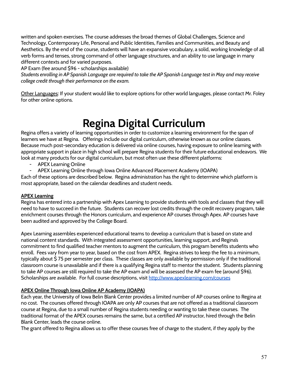written and spoken exercises. The course addresses the broad themes of Global Challenges, Science and Technology, Contemporary Life, Personal and Public Identities, Families and Communities, and Beauty and Aesthetics. By the end of the course, students will have an expansive vocabulary, a solid, working knowledge of all verb forms and tenses, strong command of other language structures, and an ability to use language in many different contexts and for varied purposes.

AP Exam (fee around \$96 - scholarships available)

*Students enrolling in AP Spanish Language are required to take the AP Spanish Language test in May and may receive college credit through their performance on the exam.*

Other Languages: If your student would like to explore options for other world languages, please contact Mr. Foley for other online options.

## **Regina Digital Curriculum**

Regina offers a variety of learning opportunities in order to customize a learning environment for the span of learners we have at Regina. Offerings include our digital curriculum, otherwise known as our online classes. Because much post-secondary education is delivered via online courses, having exposure to online learning with appropriate support in place in high school will prepare Regina students for their future educational endeavors. We look at many products for our digital curriculum, but most often use these different platforms:

- APEX Learning Online
- APEX Learning Online through Iowa Online Advanced Placement Academy (IOAPA)

Each of these options are described below. Regina administration has the right to determine which platform is most appropriate, based on the calendar deadlines and student needs.

#### **APEX Learning**

Regina has entered into a partnership with Apex Learning to provide students with tools and classes that they will need to have to succeed in the future. Students can recover lost credits through the credit recovery program, take enrichment courses through the Honors curriculum, and experience AP courses through Apex. AP courses have been audited and approved by the College Board.

Apex Learning assembles experienced educational teams to develop a curriculum that is based on state and national content standards. With integrated assessment opportunities, learning support, and Regina's commitment to find qualified teacher mentors to augment the curriculum, this program benefits students who enroll. Fees vary from year to year, based on the cost from APEX. Regina strives to keep the fee to a minimum, typically about \$ 75 per semester per class. These classes are only available by permission only if the traditional classroom course is unavailable and if there is a qualifying Regina staff to mentor the student. Students planning to take AP courses are still required to take the AP exam and will be assessed the AP exam fee (around \$96). Scholarships are available. For full course descriptions, visit <http://www.apexlearning.com/courses>

#### **APEX Online Through Iowa Online AP Academy (IOAPA)**

Each year, the University of Iowa Belin Blank Center provides a limited number of AP courses online to Regina at no cost. The courses offered through IOAPA are only AP courses that are not offered as a traditional classroom course at Regina, due to a small number of Regina students needing or wanting to take these courses. The traditional format of the APEX courses remains the same, but a certified AP instructor, hired through the Belin Blank Center, leads the course online.

The grant offered to Regina allows us to offer these courses free of charge to the student, if they apply by the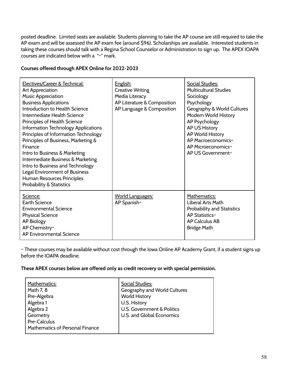posted deadline. Limited seats are available. Students planning to take the AP course are still required to take the AP exam and will be assessed the AP exam fee (around \$96). Scholarships are available. Interested students in taking these courses should talk with a Regina School Counselor or Administration to sign up. The APEX IOAPA courses are indicated below with a "~" mark.

#### **Courses offered through APEX Online for 2022-2023**

| Electives/Career & Technical:<br>Art Appreciation<br><b>Music Appreciation</b><br><b>Business Applications</b><br>Introduction to Health Science<br>Intermediate Health Science<br>Principles of Health Science<br>Information Technology Applications<br>Principles of Information Technology<br>Principles of Business, Marketing &<br>Finance<br>Intro to Business & Marketing<br><b>Intermediate Business &amp; Marketing</b><br>Intro to Business and Technology<br>Legal Environment of Business<br>Human Resources Principles<br><b>Probability &amp; Statistics</b> | English:<br><b>Creative Writing</b><br>Media Literacy<br>AP Literature & Composition<br>AP Language & Composition | <b>Social Studies:</b><br><b>Multicultural Studies</b><br>Sociology<br>Psychology<br>Geography & World Cultures<br>Modern World History<br>AP Psychology<br>AP US History<br>AP World History<br>AP Macroeconomics~<br>AP Microeconomics~<br>AP US Government~ |
|-----------------------------------------------------------------------------------------------------------------------------------------------------------------------------------------------------------------------------------------------------------------------------------------------------------------------------------------------------------------------------------------------------------------------------------------------------------------------------------------------------------------------------------------------------------------------------|-------------------------------------------------------------------------------------------------------------------|----------------------------------------------------------------------------------------------------------------------------------------------------------------------------------------------------------------------------------------------------------------|
| Science:<br><b>Earth Science</b><br><b>Environmental Science</b><br><b>Physical Science</b><br>AP Biology<br>AP Chemistry~<br>AP Environmental Science                                                                                                                                                                                                                                                                                                                                                                                                                      | <b>World Languages:</b><br>AP Spanish~                                                                            | Mathematics:<br>Liberal Arts Math<br><b>Probability and Statistics</b><br>AP Statistics~<br><b>AP Calculus AB</b><br><b>Bridge Math</b>                                                                                                                        |

~ These courses may be available without cost through the Iowa Online AP Academy Grant, if a student signs up before the IOAPA deadline.

#### **These APEX courses below are offered only as credit recovery or with special permission.**

| Mathematics:                                           | <b>Social Studies:</b>       |
|--------------------------------------------------------|------------------------------|
| Math 7, 8                                              | Geography and World Cultures |
| Pre-Algebra                                            | <b>World History</b>         |
| Algebra 1                                              | U.S. History                 |
| Algebra 2                                              | U.S. Government & Politics   |
| Geometry                                               | U.S. and Global Economics    |
| Pre-Calculus<br><b>Mathematics of Personal Finance</b> |                              |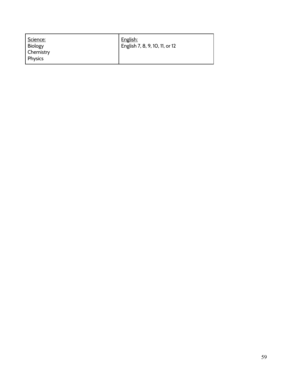| Science:<br>Biology<br>Chemistry<br><b>Physics</b> | English:<br>  English 7, 8, 9, 10, 11, or 12 |  |
|----------------------------------------------------|----------------------------------------------|--|
|----------------------------------------------------|----------------------------------------------|--|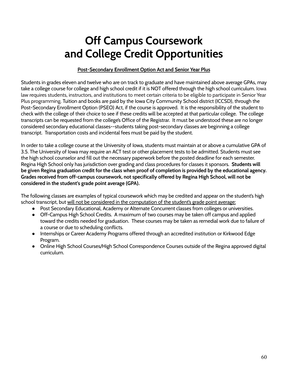## **Off Campus Coursework and College Credit Opportunities**

#### **Post-Secondary Enrollment Option Act and Senior Year Plus**

Students in grades eleven and twelve who are on track to graduate and have maintained above average GPAs, may take a college course for college and high school credit if it is NOT offered through the high school curriculum. Iowa law requires students, instructors, and institutions to meet certain criteria to be eligible to participate in Senior Year Plus programming. Tuition and books are paid by the Iowa City Community School district (ICCSD), through the Post-Secondary Enrollment Option (PSEO) Act, if the course is approved. It is the responsibility of the student to check with the college of their choice to see if these credits will be accepted at that particular college. The college transcripts can be requested from the college's Office of the Registrar. It must be understood these are no longer considered secondary educational classes--students taking post-secondary classes are beginning a college transcript. Transportation costs and incidental fees must be paid by the student.

In order to take a college course at the University of Iowa, students must maintain at or above a cumulative GPA of 3.5. The University of Iowa may require an ACT test or other placement tests to be admitted. Students must see the high school counselor and fill out the necessary paperwork before the posted deadline for each semester. Regina High School only has jurisdiction over grading and class procedures for classes it sponsors. **Students will be given Regina graduation credit for the class when proof of completion is provided by the educational agency. Grades received from off-campus coursework, not specifically offered by Regina High School, will not be considered in the student's grade point average (GPA).**

The following classes are examples of typical coursework which may be credited and appear on the student's high school transcript, but will not be considered in the computation of the student's grade point average:

- Post Secondary Educational, Academy or Alternate Concurrent classes from colleges or universities.
- Off-Campus High School Credits. A maximum of two courses may be taken off campus and applied toward the credits needed for graduation. These courses may be taken as remedial work due to failure of a course or due to scheduling conflicts.
- Internships or Career Academy Programs offered through an accredited institution or Kirkwood Edge Program.
- Online High School Courses/High School Correspondence Courses outside of the Regina approved digital curriculum.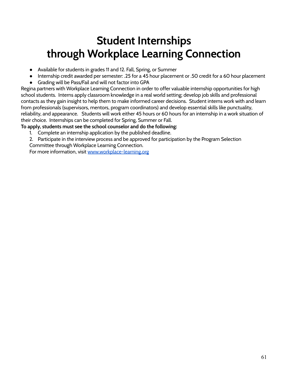### **Student Internships through Workplace Learning Connection**

- Available for students in grades 11 and 12. Fall, Spring, or Summer
- Internship credit awarded per semester: .25 for a 45 hour placement or .50 credit for a 60 hour placement
- Grading will be Pass/Fail and will not factor into GPA

Regina partners with Workplace Learning Connection in order to offer valuable internship opportunities for high school students. Interns apply classroom knowledge in a real world setting; develop job skills and professional contacts as they gain insight to help them to make informed career decisions. Student interns work with and learn from professionals (supervisors, mentors, program coordinators) and develop essential skills like punctuality, reliability, and appearance. Students will work either 45 hours or 60 hours for an internship in a work situation of their choice. Internships can be completed for Spring, Summer or Fall.

#### **To apply, students must see the school counselor and do the following:**

- 1. Complete an internship application by the published deadline.
- 2. Participate in the interview process and be approved for participation by the Program Selection

Committee through Workplace Learning Connection.

For more information, visit [www.workplace-learning.org](http://www.workplace-learning.org)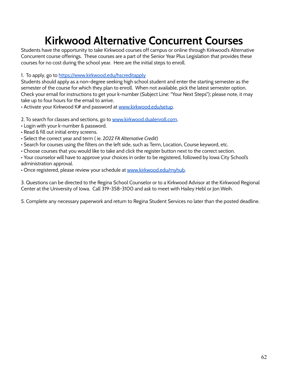## **Kirkwood Alternative Concurrent Courses**

Students have the opportunity to take Kirkwood courses off campus or online through Kirkwood's Alternative Concurrent course offerings. These courses are a part of the Senior Year Plus Legislation that provides these courses for no cost during the school year. Here are the initial steps to enroll.

1. To apply, go to <https://www.kirkwood.edu/hscreditapply>

Students should apply as a non-degree seeking high school student and enter the starting semester as the semester of the course for which they plan to enroll. When not available, pick the latest semester option. Check your email for instructions to get your k-number (Subject Line: "Your Next Steps"); please note, it may take up to four hours for the email to arrive.

• Activate your Kirkwood K# and password at [www.kirkwood.edu/setup](http://www.kirkwood.edu/setup).

2. To search for classes and sections, go to [www.kirkwood.dualenroll.com](http://www.kirkwood.dualenroll.com).

- Login with your k-number & password.
- Read & fill out initial entry screens.
- Select the correct year and term ( ie. *2022 FA Alternative Credit*)
- Search for courses using the filters on the left side, such as Term, Location, Course keyword, etc.
- Choose courses that you would like to take and click the register button next to the correct section.

• Your counselor will have to approve your choices in order to be registered, followed by Iowa City School's administration approval.

• Once registered, please review your schedule at [www.kirkwood.edu/myhub.](http://www.kirkwood.edu/myhub)

3. Questions can be directed to the Regina School Counselor or to a Kirkwood Advisor at the Kirkwood Regional Center at the University of Iowa. Call 319-358-3100 and ask to meet with Hailey Hebl or Jon Weih.

5. Complete any necessary paperwork and return to Regina Student Services no later than the posted deadline.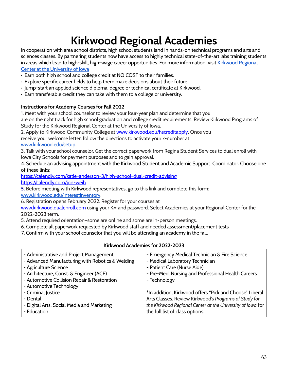## **Kirkwood Regional Academies**

In cooperation with area school districts, high school students land in hands-on technical programs and arts and sciences classes. By partnering students now have access to highly technical state-of-the-art labs training students in areas which lead to high-skill, high-wage career opportunities. For more information, visit [Kirkwood Regional](https://www.kirkwood.edu/explore/locations/uofi-regional#Getting-Started-CCHS) [Center at the University of Iowa](https://www.kirkwood.edu/explore/locations/uofi-regional#Getting-Started-CCHS)

- · Earn both high school and college credit at NO COST to their families.
- · Explore specific career fields to help them make decisions about their future.
- · Jump-start an applied science diploma, degree or technical certificate at Kirkwood.
- · Earn transferable credit they can take with them to a college or university.

#### **Instructions for Academy Courses for Fall 2022**

1. Meet with your school counselor to review your four-year plan and determine that you

are on the right track for high school graduation and college credit requirements. Review Kirkwood Programs of Study for the Kirkwood Regional Center at the University of Iowa.

2. Apply to Kirkwood Community College at www.kirkwood.edu/hscreditapply. Once you receive your welcome letter, follow the directions to activate your k-number at [www.kirkwood.edu/setup](http://www.kirkwood.edu/setup).

3. Talk with your school counselor. Get the correct paperwork from Regina Student Services to dual enroll with Iowa City Schools for payment purposes and to gain approval.

4. Schedule an advising appointment with the Kirkwood Student and Academic Support Coordinator. Choose one of these links:

<https://calendly.com/katie-anderson-3/high-school-dual-credit-advising> <https://calendly.com/jon-weih>

**5.** Before meeting with Kirkwood representatives, go to this link and complete this form: [www.kirkwood.edu/interestinventory](http://r20.rs6.net/tn.jsp?f=0013UAT8YQwW8yykDPrqH2ZGU1vo1_YmF8gpot4U4goAg6s4Y6VRom8VK2UbmeJKfSEPhpMupn5bYxWx00myaivK2aeW0S0tnzxTHxshNwvstYLD3Uk2LNrIiPjtPQBKYl0kaW_kVJF3KpaZY0CUS9XjuXCONG6bLWGL4pssNYUdDQ=&c=xySQiODAqgcfLox0cb_2K_hjFUwbVmqF9F1SUQutDJcPrPFxa_5kxw==&ch=msQzaZoNgDKv8fDl_0nW6s4wGpXV0RnnzhuwxJKOcRykifBRz4tVZQ==).

6. Registration opens February 2022. Register for your courses at

www.kirkwood.dualenroll.com using your K# and password. Select Academies at your Regional Center for the 2022-2023 term.

5. Attend required orientation–some are online and some are in-person meetings.

- 6. Complete all paperwork requested by Kirkwood staff and needed assessment/placement tests
- 7. Confirm with your school counselor that you will be attending an academy in the fall.

#### **Kirkwood Academies for 2022-2023**

| - Administrative and Project Management<br>- Advanced Manufacturing with Robotics & Welding<br>- Agriculture Science<br>- Architecture, Const. & Engineer (ACE)<br>- Automotive Collision Repair & Restoration<br>- Automotive Technology | - Emergency Medical Technician & Fire Science<br>- Medical Laboratory Technician<br>- Patient Care (Nurse Aide)<br>- Pre-Med, Nursing and Professional Health Careers<br>- Technology |
|-------------------------------------------------------------------------------------------------------------------------------------------------------------------------------------------------------------------------------------------|---------------------------------------------------------------------------------------------------------------------------------------------------------------------------------------|
| - Criminal Justice                                                                                                                                                                                                                        | *In addition, Kirkwood offers "Pick and Choose" Liberal                                                                                                                               |
| - Dental                                                                                                                                                                                                                                  | Arts Classes. Review Kirkwood's Programs of Study for                                                                                                                                 |
| - Digital Arts, Social Media and Marketing                                                                                                                                                                                                | the Kirkwood Regional Center at the University of Iowa for                                                                                                                            |
| - Education                                                                                                                                                                                                                               | the full list of class options.                                                                                                                                                       |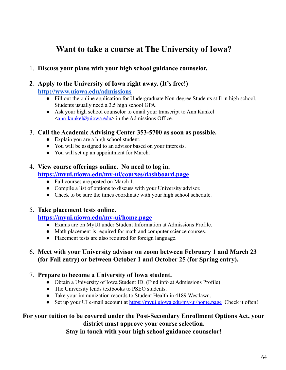### **Want to take a course at The University of Iowa?**

1. **Discuss your plans with your high school guidance counselor.**

#### **2. Apply to the University of Iowa right away. (It's free!)**

**<http://www.uiowa.edu/admissions>**

- Fill out the online application for Undergraduate Non-degree Students still in high school. Students usually need a 3.5 high school GPA.
- Ask your high school counselor to email your transcript to Ann Kunkel  $\leq$ [ann-kunkel@uiowa.edu](mailto:ann-kunkel@uiowa.edu)> in the Admissions Office.
- 3. **Call the Academic Advising Center 353-5700 as soon as possible.**
	- Explain you are a high school student.
	- You will be assigned to an advisor based on your interests.
	- You will set up an appointment for March.

#### 4. **View course offerings online. No need to log in.**

#### **<https://myui.uiowa.edu/my-ui/courses/dashboard.page>**

- Fall courses are posted on March 1.
- Compile a list of options to discuss with your University advisor.
- Check to be sure the times coordinate with your high school schedule.

#### 5. **Take placement tests online.**

#### **<https://myui.uiowa.edu/my-ui/home.page>**

- Exams are on MyUI under Student Information at Admissions Profile.
- Math placement is required for math and computer science courses.
- Placement tests are also required for foreign language.

#### 6. **Meet with your University advisor on zoom between February 1 and March 23 (for Fall entry) or between October 1 and October 25 (for Spring entry).**

#### 7. **Prepare to become a University of Iowa student.**

- Obtain a University of Iowa Student ID. (Find info at Admissions Profile)
- The University lends textbooks to PSEO students.
- Take your immunization records to Student Health in 4189 Westlawn.
- Set up your UI e-mail account at <https://myui.uiowa.edu/my-ui/home.page> Check it often!

#### **For your tuition to be covered under the Post-Secondary Enrollment Options Act, your district must approve your course selection.**

**Stay in touch with your high school guidance counselor!**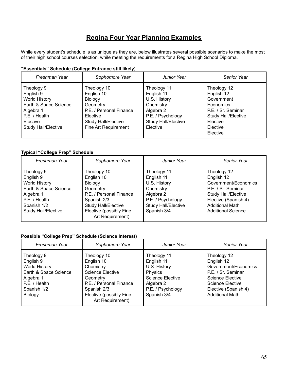### **Regina Four Year Planning Examples**

While every student's schedule is as unique as they are, below illustrates several possible scenarios to make the most of their high school courses selection, while meeting the requirements for a Regina High School Diploma.

| Freshman Year                                                                                                                                    | Sophomore Year                                                                                                                                | Junior Year                                                                                                                        | Senior Year                                                                                                                                  |
|--------------------------------------------------------------------------------------------------------------------------------------------------|-----------------------------------------------------------------------------------------------------------------------------------------------|------------------------------------------------------------------------------------------------------------------------------------|----------------------------------------------------------------------------------------------------------------------------------------------|
| Theology 9<br>English 9<br><b>World History</b><br>Earth & Space Science<br>Algebra 1<br>P.E. / Health<br>Elective<br><b>Study Hall/Elective</b> | Theology 10<br>English 10<br>Biology<br>Geometry<br>P.E. / Personal Finance<br>Elective<br><b>Study Hall/Elective</b><br>Fine Art Requirement | Theology 11<br>English 11<br>U.S. History<br>Chemistry<br>Algebra 2<br>P.E. / Psychology<br><b>Study Hall/Elective</b><br>Elective | Theology 12<br>English 12<br>Government<br>Economics<br>P.E. / Sr. Seminar<br><b>Study Hall/Elective</b><br>Elective<br>Elective<br>Elective |

#### **"Essentials" Schedule (College Entrance still likely)**

#### **Typical "College Prep" Schedule**

| Freshman Year                                                                                                                                | Sophomore Year                                                                                                                                                                 | <b>Junior Year</b>                                                                                                                    | <b>Senior Year</b>                                                                                                                                                                   |
|----------------------------------------------------------------------------------------------------------------------------------------------|--------------------------------------------------------------------------------------------------------------------------------------------------------------------------------|---------------------------------------------------------------------------------------------------------------------------------------|--------------------------------------------------------------------------------------------------------------------------------------------------------------------------------------|
| Theology 9<br>English 9<br><b>World History</b><br>Earth & Space Science<br>Algebra 1<br>P.E. / Health<br>Spanish 1/2<br>Study Hall/Elective | Theology 10<br>English 10<br><b>Biology</b><br>Geometry<br>P.E. / Personal Finance<br>Spanish 2/3<br><b>Study Hall/Elective</b><br>Elective (possibly Fine<br>Art Requirement) | Theology 11<br>English 11<br>U.S. History<br>Chemistry<br>Algebra 2<br>P.E. / Psychology<br><b>Study Hall/Elective</b><br>Spanish 3/4 | Theology 12<br>English 12<br>Government/Economics<br>P.E. / Sr. Seminar<br><b>Study Hall/Elective</b><br>Elective (Spanish 4)<br><b>Additional Math</b><br><b>Additional Science</b> |

#### **Possible "College Prep" Schedule (Science Interest)**

| Freshman Year                                                                                                                    | Sophomore Year                                                                                                                                                         | Junior Year                                                                                                                             | <b>Senior Year</b>                                                                                                                                                       |
|----------------------------------------------------------------------------------------------------------------------------------|------------------------------------------------------------------------------------------------------------------------------------------------------------------------|-----------------------------------------------------------------------------------------------------------------------------------------|--------------------------------------------------------------------------------------------------------------------------------------------------------------------------|
| Theology 9<br>English 9<br><b>World History</b><br>Earth & Space Science<br>Algebra 1<br>P.E. / Health<br>Spanish 1/2<br>Biology | Theology 10<br>English 10<br>Chemistry<br><b>Science Elective</b><br>Geometry<br>P.E. / Personal Finance<br>Spanish 2/3<br>Elective (possibly Fine<br>Art Requirement) | Theology 11<br>English 11<br>U.S. History<br><b>Physics</b><br><b>Science Elective</b><br>Algebra 2<br>P.E. / Psychology<br>Spanish 3/4 | Theology 12<br>English 12<br>Government/Economics<br>P.E. / Sr. Seminar<br>Science Elective<br><b>Science Elective</b><br>Elective (Spanish 4)<br><b>Additional Math</b> |